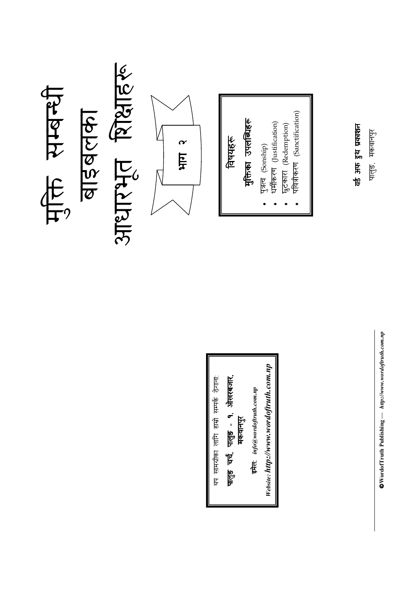

 $\otimes$ WordofTruth Publishing  $-$  http://www.wordoftruth.com.np  $\mathsf{DWordofTruth\ Publishing} \longrightarrow \ http://www.wordofruth.com,np$ 

Website: http://www.wordoftruth.com.np Website: http://www.wordoftruth.com.np पालुङ चर्च, पालुङ - **१**, ओस्वरबजार, इमेल: info@wordoftruth.com.np यानपुर<br>" <u>թե</u>

थप सामग्रीक । लागि हाम्रो सम्पर्क थप सामग्रीका लागि हाम्रो सम्पर्क ठेगाना:

पालुङ, मक

लानपुर<br>ज

वड अफ थ ूकाशन

वर्ड अफ ड्रुथ प्रकाशन

पवित्रीकरण (Sanctification) 6 (Sanctification)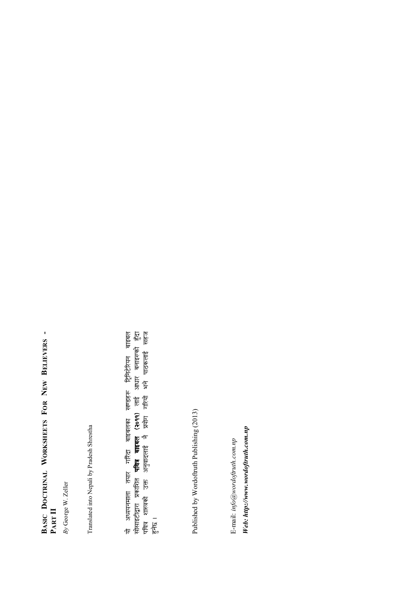## BASIC DOCTRINAL WORKSHEETS FOR NEW BELIEVERS -PART II

By George W. Zeller

Translated into Nepali by Pradesh Shrestha

यो अध्ययनमाला तयार गरिँदा बाइबलका स्वण्डहरू ट्रिनिटेरियन बाइबल<br>सोसाइटीद्वारा प्रकाशित **पवित्र बाइबल (२०११)** लाई आधार बनाइरफो हुँदा<br>पवित्र शास्त्रको उक्त अनुवादलाई नै प्रयोग गरियो भने पाठकलाई सहज  $\frac{1}{\sqrt{2}}$ 

Published by Wordoftruth Publishing (2013)

Web: http://www.wordoftruth.com.np E-mail: info@wordoftruth.com.np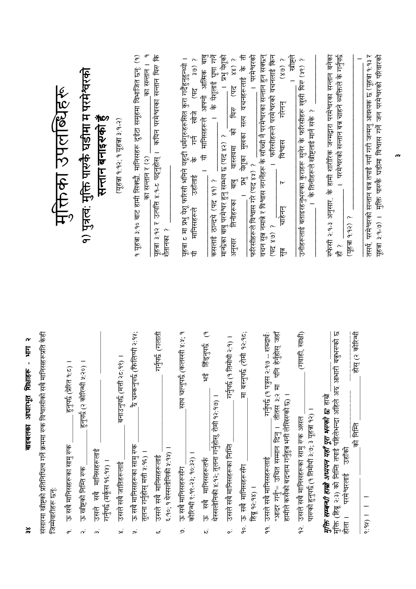|                                                                                 | माक्तका उपलब्धिहरू                    | १) पुत्रत्व: मुक्ति पारुकै घडीमा म परमेश्वरको | सन्तान बनाइरुको हुँ                                | (यूहचा १.१२; १ यूहचा ३:१-२) | १ यूहत्रा ३:१० बाट हामी सिक्छौ, मानिसहरू दुईटा समूहमा विभाजित छन्: (१)<br>का सन्तान ।<br>का सन्तान र (२) | यूहत्रा ३.१२ र उत्पत्ति ४.१-८ पदनुहोस् ।  कपिन परमेश्वरका सन्तान थिरु कि<br>शैतानका ? | यूहत्रा ट मा प्रभु पेशू फरिसी भनिने यहूदी धर्मगुरुहरूसित कुरा गर्दैहुनुहुन्थ्यो ।<br>3007<br>ピ<br>रेला है।<br>$\frac{1}{\sqrt{2}}$<br>$\frac{1}{6}$<br>उहाँलाई<br>मानिसहरूले<br>₽ | $\frac{\overline{a}}{\overline{b}}$<br>के येशूलाई घृणा गर्ने<br>। यी मानिसहरूले आफ्नो आसिक<br>$\overline{a}$<br>कसलाई ठान्दथे (पद ४१) ? | । प्रभु पेशूको<br>$(45 - 88)$ 5<br>विस्<br>बी<br>मान्छेका बाबु परमेश्वर हुनु सम्भव छ (पद ४२) ?<br>वास्तवमा<br>$\frac{\sigma}{\sigma}$<br>तिनीहरूका<br>अनुसार | । प्रभु येशूका मुखका सत्य वचनहरूलाई के ती<br>। परमेश्वरको<br>फरिसीहरूले विश्वास गरे (पद ४१) ? | वचन सुन्न नमान्ने र विश्वास नगनेंहरू के सॉच्ची नै परमेश्वरका सन्तान हुन सक्छन्<br>खीष्ट्रले<br>। फरिसीहरूले परमेश्वरको वचनलाई किन<br>(68)<br>गरेनन्<br>विश्वास<br>$\overline{\mathsf{h}}$<br>चाहेनन्<br>(6880)<br>$\overline{\mathcal{F}}$ | उनीहरूलाई बताइरहनुभरुका कुराहरू सुनेर के फरिसीहरू खुसी थिरु (१९) ?<br>के तिनीहरूले खीष्टलाई मार्न सके ? | । परमेश्वरको सन्तान बन्न चाहने व्यक्तिले के गर्नुपर्छ<br>रुफेसी २:१-३ अनुसार, के हामी शारीरिक जन्मद्वारा परमेश्वरका सन्तान बनेका<br>(यूहन्ना १:१२) ?<br>~<br>板                         | तसर्थ, परमेश्वरको सन्तान बन्न तपाई नयाँ गरी जन्मनु आवश्यक छ (यूहन्ना १:१३ र<br>मुक्ति पारुके घडीमा विश्वास गर्ने जन परमेश्वरको परिवारको |
|---------------------------------------------------------------------------------|---------------------------------------|-----------------------------------------------|----------------------------------------------------|-----------------------------|----------------------------------------------------------------------------------------------------------|---------------------------------------------------------------------------------------|-----------------------------------------------------------------------------------------------------------------------------------------------------------------------------------|-----------------------------------------------------------------------------------------------------------------------------------------|--------------------------------------------------------------------------------------------------------------------------------------------------------------|-----------------------------------------------------------------------------------------------|--------------------------------------------------------------------------------------------------------------------------------------------------------------------------------------------------------------------------------------------|---------------------------------------------------------------------------------------------------------|----------------------------------------------------------------------------------------------------------------------------------------------------------------------------------------|-----------------------------------------------------------------------------------------------------------------------------------------|
| संसारमा खीष्टको प्रतिनिधित्व गर्ने क्रममा रुक विश्वासीको सबै मानिसहरूप्रति केही | हुनुपर्छ (प्रेरित १:८) ।              | हुनुपर्छ (२ कोरिन्थी ५:२०) ।                  |                                                    | बनाउनुपर्छ (मत्ती २८:१९) ।  | . है चम्कनुपर्छ (फिलिप्पी २:१५;                                                                          | (गलाती<br>गर्नुपर्छ।                                                                  | 8:4:9<br>साथ चल्नुपर्छ (कलस्सी                                                                                                                                                    | भई हिंड्नुपर्छ                                                                                                                          | गर्नुपर्छ (१ तिमोथी २:१) ।                                                                                                                                   | 92:95;<br>मा बस्नुपर्छ (रोमी                                                                  | तीतस ३:२ मा  पनि हेर्नुहोस् जहाँ<br>शब्दार्थः<br>गर्नुपर्छ (१ पत्रुस २:१७ -- '                                                                                                                                                             | साक्षी)<br>(गवाही,                                                                                      | ৰ দিশ<br>বি<br>होस् (२ कोरिन्थी                                                                                                                                                        |                                                                                                                                         |
| जिम्मेवारीहरू छन्                                                               | ऊ सबै मानिसहरूका सामु रुक<br>$\sigma$ | ऊ स्रीष्ट्रको निम्ति स्पर्क<br>$\dot{\alpha}$ | उसले सबै मानिसहरूलाई<br>गर्नुपर्छ (मर्कूस १६:११) । | उसले सबै जातिहरूलाई<br>نح   | ऊ सबै मानिसहरूका सामु रुक<br>तुलना गर्नुहोस् मत्ती १:१६) ।<br>.<br>Jy                                    | ६.१०; १ थेरसलोनिकी ५:११) ।<br>उसले सबै मानिसहरूलाई<br>نما                             | कोरिन्थी ९:१९-२३; १०:३२) ।<br>ऊ सबै मानिसहरूसँग<br>.<br>چ                                                                                                                         | थेस्सलोनिकी ४:१२; तुलना गर्नुहोस्, रोमी १२:१७) ।<br>ऊ सबै मानिसहरूतर्फ<br>.<br>نا                                                       | उसले सबै मानिसहरूका निम्ति<br>$\mathbf{v}^2$                                                                                                                 | १०. ऊ सबै मानिसहरूसँग<br>हिब्रु १२:१४) ।                                                      | हामीले कसैको बदनाम गर्नुहुन्न भनी लेखिरुको छ)।<br>"अदिर गर्नु"= उचित सम्मान दिन् ।<br>उसले सबै मानिसहरूलाई<br>$\vec{e}$                                                                                                                    | पारुको हुनुपर्छ (१ तिमोथी ३:७; ३ यूहत्रा १२) ।<br>१२. उसले सबै मानिसहरूका सामु रुक असल                  | र्मुक्ति (हिब्रू २:३) को निम्ति तपाई पहिलेभन्दा अहिले अन्द्र आभारी बन्नुभ<br>मुक्ति सम्बन्धी हाम्रो अध्ययन यहाँ पूरा भरण्को छ हाम्रो<br>को निमित<br>उहाँको<br>परमेश्वरलाई<br>। क्रिड़े | $1 - 166.8$                                                                                                                             |

 $\frac{8}{3}$ 

बाइबलका आधारभूत शिक्षाहरू - भाग २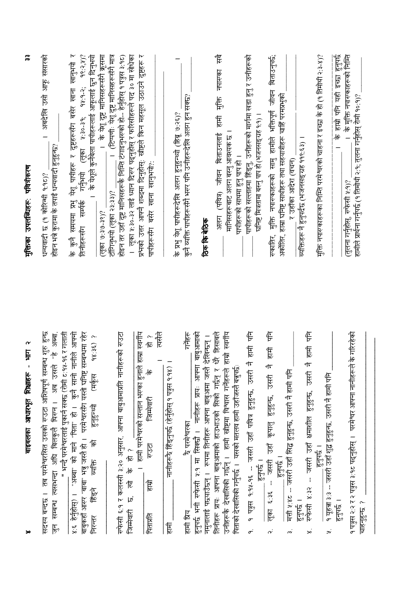| م<br>Ę<br>$\blacksquare$<br>बाइबलका आधारभूत शिक्षाहरू                                                                                                                                                                                                                                                               | $\frac{m}{2}$<br>मुक्तिका उपलब्धिहरू पवित्रीकरण                                                                                                                                                                                                                                                                                                    |
|---------------------------------------------------------------------------------------------------------------------------------------------------------------------------------------------------------------------------------------------------------------------------------------------------------------------|----------------------------------------------------------------------------------------------------------------------------------------------------------------------------------------------------------------------------------------------------------------------------------------------------------------------------------------------------|
| ान्ध शुरु हुन्छ<br>1 "हे अब्बा,<br>_" भन्दै परमेश्वरलाई पुकानं सक्छ (रोमी ट:१५-१६ र गलाती<br>उसले<br>सदस्य बन्दछ । तब परमेश्वरसित उसको रुउटा आशिषपूर्ण सम्ब<br>सम्बन्ध त्यसमन्दा अघि बिलकुलै थिरुन। अब<br>ान<br>जि                                                                                                  | अबदेखि उसी आफू संसारको<br>होइन भन्ने कुरामा के तपाई धन्यवादी हुनुहुन्छ?<br>धन्यवादी छ (१ कोरिन्थी १:१८)?                                                                                                                                                                                                                                           |
| बाबुकहाँ आरण "बाबा" भन्नु जस्तै हो ।  परमेश्वरसँग यस्तो घनिष्ट सम्बन्धमा रहेर<br>कुनै सानी नानीले आफ्नो<br>$48:35$ )?<br>(मकूस<br>"अब्बा" को माने "पिता" हो।<br>हुनुहुन्थ्यो<br>ি<br>व्यक्ति<br>हिंदन<br>४.६ हेर्नुहोस्) ।<br>मिरनर                                                                                 | येशू पापीहरू र दुष्टहरूसँग बसेर खाना खानुभयो र<br>$98:2,4)$ ?<br>।   के पेशूले कुनैबेला पापीहरूलाई आफूलाई छुन दिनुभयी<br>।  के येशू दुष्ट मानिसहरूसँगै क्रूसमा<br>$($ ्लूका ५:३०-३१; १५:१-२;<br>गर्नुभयो<br>के कुनै समयमा प्रभु<br>तिनीहरूसँग सम्पर्क<br>$(6.8 - 6.6 - 8.6)$                                                                       |
| रुफेसी ६.१ र कलस्सी ३:२० अनुसार, आफ्ना बाबुआमाप्रति नानीहरूको रुउटा<br>त्यसैले<br>हाम्रा स्वर्गीय<br>へに<br>।  हामी परमेश्वरको सन्तान भरुका हुनाले<br>$\frac{1}{6}$<br>ितमेवारी<br><b>PSP</b><br>《志<br>ह<br>怎<br>छ। स्वारी छि<br>PRIVIC                                                                              | प्रश्नको उत्तर आफ्नै शब्दमा दिनुहोस्: खीष्टले किन महसूल उठाउने दुष्टहरू र<br>होइन तर उहाँ दुष्ट मानिसहरूकै निम्ति टंगाइनुभरुको हो-- हेर्नुहोस् १ पत्रुस ३.१८)<br>।  लूका ४:३०-३२ लाई ध्यान दिरुर पद्नुहोस् र फरिसीहरूले पद ३० मा सोधेका<br>_। (टिप्पणीः येशू दुष्ट मानिसहरूसँगै मात्र<br>पापीहरूसँग बसेर खाना खानुभयो?:<br>टॉगिनुभयी (लूका २३:३३)? |
| गर्नेहरू<br><b>RHALL</b><br>नानीहरूरै हिंड्नुपर्छ (हेर्नुहोस् १ पत्रुस १.१४)<br>हुनुपर्छ भनी रुफेसी ५:१ मा सिक्छौ । नानीहरू प्रायः<br>के परमेश्वरका<br>हामी प्रिय<br>信                                                                                                                                              | कुनै व्यक्ति पापीहरूसँगै भरूर पनि उनीहरूदेखि अलग हुन सक्छ?<br>के प्रभु येशू पापीहरूदेखि अलग हुनुहुन्थ्यो (हिब्रू ७:२६)?                                                                                                                                                                                                                            |
| धेरे हिसाबले<br>हाम्रो स्वर्गीय<br>बाबुआमाको<br>देखिन्छन् ।<br>पिताको देखासिकी गर्नुपर्छ ।   यसको मतलव हामी उहाँजस्तै बन्नुपर्छ:<br>नमुनालाई पछयाउँछन् ।  रूपमा तिनीहरू आफ्ना बाबुआमा जस्तै<br>उनीहरूकै देखासिकी गर्छन् ।  हामी खीष्टमा विश्वास गर्नेहरूले<br>तिनीहरू प्रायः आफ्ना बाबुआमाको हाउभाउको सिको गर्छन् र | अलग (पवित्र) जीवन बिताउनलाई हामी मुक्ति नपारुका सबै<br>मानिसहरूबाट अलग बस्नु आवश्यक छ ।<br>पापीहरूको साथमा हुनु पाप हो ।<br>ठिक कि बेठिक                                                                                                                                                                                                           |
| 信用<br>हामी पनि<br>市民<br>उसरी नै<br>जसरी उहाँ पवित्र हुनुहुन्छ,<br>उहाँ कृपालु<br>जसरी<br>$\frac{1}{67}$<br>$9.94 - 96 - 1$<br>ia<br>isi<br>प्रमुख<br>पुरु<br>$\frac{\sqrt{6}}{\sqrt{2}}$<br>$\sigma$<br>$\dot{\alpha}$                                                                                              | पापीहरूको सल्लाहमा हिंड्नु, उनीहरूको मार्गमा खडा हुनु र उनीहरूको<br><u>। (१.१७) हिंदी पाना बस्नु पाना बस्नु भारत करने ।</u>                                                                                                                                                                                                                        |
| 信用<br>रुफेसी ४:३२ -- जसरी उहाँ क्षमाशील हुनुहुन्छ, उसरी नै<br>मत्ती १:४८ -- जसरी उहाँ सिद्ध हुनुहुन्छ, उसरी नै हामी पनि<br>हन्दू<br>इन्दु<br>$\frac{1}{67}$<br>$\frac{1}{6}$<br>≫                                                                                                                                   | रुकातिर, मुक्ति नपास्काहरूको सामु हामीले भक्तिपूर्ण जीवन बिताउनुपर्छ;<br>हाम्रा घनिष्ट सार्थाहरू तथा सहयात्रीहरू चाहिं परमप्रभुको<br>व्यक्तिहरू नै हुनुपर्दछ (भजनसङ्ग्रह ११९:६३) ।<br>र उहाँका आदेश (वचन)<br>अकॉलिर,                                                                                                                               |
| १ यूहचा ३:३ -- जसरी उहाँ शुद्ध हुनुहुन्छ. उसरी नै हामी पनि<br>$\frac{1}{57460}$<br>$\frac{1}{6}$<br>$\vec{r}$                                                                                                                                                                                                       | मुक्ति नपारुकाहरूका निम्ति परमेश्वरको चाहना र इच्छा के हो (१ तिमोथी २:३-४)?<br>के हाम्रो पनि यही इच्छा हुनुपर्छ<br>।   के मुक्ति नपारुकाहरूको निम्ति<br>(तुलना गर्नुहोस्, स्फेसी ५:१)?                                                                                                                                                             |
| के गरिरहेको<br><u>१ पत्रुस २:२ र २ पत्रुस ३:१८ पढ्नुहोस् ।   परमेश्वर आफ्ना नानीहरूले</u><br>चाहनुहुन्छ ?                                                                                                                                                                                                           | हामीले प्रार्थना गर्नुपर्छ (१ तिमोथी २:९; तुलना गर्नुहोस् रोमी १०:९)?                                                                                                                                                                                                                                                                              |

 $\frac{3}{2}$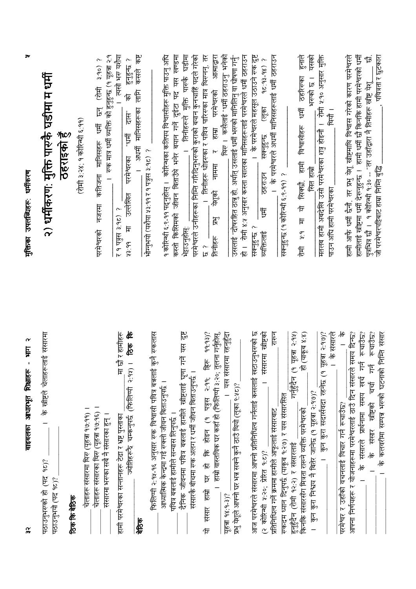| $\boldsymbol{\alpha}$<br>lit -<br>बाइबलका आधारभूत शिक्षाहरू<br>$\approx$                                                    | ァ<br>मुक्तिका उपलब्धिहरू: धर्मीकरण                                                                                                                    |
|-----------------------------------------------------------------------------------------------------------------------------|-------------------------------------------------------------------------------------------------------------------------------------------------------|
| के खीष्टले चेलाहरूलाई संसारमा<br>पठाउनुभरुको हो (पद १८)?<br>पठाउनुभयो (पद १८)?                                              | २) धर्मीकरण: मुक्ति पारुकै घडीमा म धर्मी                                                                                                              |
| ठिक कि बेठिक                                                                                                                | ठहराइको हुँ                                                                                                                                           |
| चेलाहरू संसारमा थिरु (यूहत्रा १७:११)                                                                                        | (रोमी ३:२४; १ कोरिन्थी ६:११)                                                                                                                          |
| चेलाहरू संसारका थिरु (यूहत्रा १७:१६) ।                                                                                      | $3:90)$ ?<br>凭<br>$\overline{\mathbb{F}}$<br>कतिजना मानिसहरू धर्मी<br>नजरमा<br>परमेश्वरको                                                             |
| संसारमा भरुका सबै नै संसारका हुन् ।                                                                                         | रुक मात्र धर्मी व्यक्ति को हुनुहुन्छ (१ यूहत्रा २:१                                                                                                   |
| ज्योतिहरूरै चम्कनुपर्छ (फिलिपी २:११) । <b>ठिक कि</b><br>मा छौ र हामीहरू<br>हामी परमेश्वरका सन्तानहरू टेढा र भ्रष्ट पुस्ताका | त्यसो भरु यशैया<br>हेर्नुहेर्न्छ ?<br>क्र<br>i<br>le<br>परमेश्वरका "धर्मी<br>उल्लेखित<br>र १ पत्रुस ३:१८) ?<br>$\sharp$<br>43.99                      |
| <b>AG6</b>                                                                                                                  | pv<br>18<br>कसले<br>तानि<br>अधर्मी मानिसहरूका                                                                                                         |
| कुनै स्कलास<br>फिलिप्पी २:१४-१६ अनुसार रुक विश्वासी पवित्र बन्नलाई                                                          | भोग्नुभयो (यशैया ५३:११ र १ पत्रुस ३:१८) ?                                                                                                             |
| आध्यात्मिक केन्द्रमा गई रुक्लो जीवन बिताउनुपर्छ ।                                                                           | <u> १ कोरिन्थी ६:९-११ पदनुहोस् ।   कोरिन्थका कतिपय विश्वासीहरू मुक्ति पाउनु अधि</u>                                                                   |
| दैनिक जीवनमा पवित्र बन्नलाई हामीले स्नीष्टलाई घृणा<br>पवित्र बन्नलाई हामीले सन्यास लिनुपर्छ ।                               | कस्तो किसिमको जीवन बिताउँथे भनेर बयान गर्ने दुईटा पद यस खण्डमा                                                                                        |
| गर्ने पस दृष्ट<br>संसारकै बीचमा रुक अलग र धर्मी जीवन बिताउनुपर्छ ।                                                          | पड़ीमा<br>परमेश्वरले उनीहरूका निम्ति गरिदिनुभरूको कुराको बयान कुनचाहिँ पदले गरेको<br>। तिनीहरूले मुक्ति पारुकै<br>भेइाउन्होस्                         |
| संसार<br>চি                                                                                                                 | । तिनीहरू धोइरुका र पवित्र पारिरुका मात्र थिरुनन्, तर<br>بہ<br>لگا                                                                                    |
| हाम्रो घर हो कि होइन (१ पत्रुस २:११; हिरू ११:१३)?<br>___ । हाम्रो वास्तविक घर कहाँ हो (फिलिप्पी ३:२०; तुलना गर्नुहोस्,      | आत्माद्वारा<br>परमेश्वरको<br>सान्<br>येशूको नाममा र<br>$\overline{\mathsf{F}}^2$<br>तिनीहरू                                                           |
| । यस संसारमा रहनुहुँदा<br>यहचा १४:१-३)?                                                                                     | थिरु ।  कसैलाई "धर्मी ठहराउनु" भनेको                                                                                                                  |
| प्रभु येशूले आफ्नो घर भन्न सक्ने कुनै ठाउँ थियो (लूका ९:४८)?                                                                | उसलाई "दोषरहित ठान्नु हो, अर्थात् उसलाई धर्मी भरुको मानिलिनु वा घोषणा गर्नु"<br>हो ।  रोमी ४:५ अनुसार कस्ता खालका मानिसहरूलाई परमेश्वरले धर्मी ठहराउन |
| आज परमेश्वरले संसारमा आफ्नो प्रतिनिधित्व गर्नलाई कसलाई खटाउनुभरुको छ                                                        | _ । के परमेश्वरले महसूल उठाउने रुक दुष्ट<br>सक्नुहुन्छ?                                                                                               |
| संसारमा खीष्टको<br>(२ कोरिन्थी ५:२०; प्रेरित १:८)?                                                                          | $\sim$<br>$(8b-5b.2b)$<br>(लुका<br>सक्नुहुन्छ<br>ठहराउन<br>ţ<br>व्यक्तिलाई                                                                            |
| रारून<br>प्रतिनिधित्व गर्ने क्रममा हामीले आफूलाई संसारबाट                                                                   | । के परमेश्वरले अधर्मी मानिसहरूलाई धर्मी ठहराउन                                                                                                       |
| रुकदम ध्यान दिनुपर्छ (याकूब १:२७) र यस संसारसित                                                                             | सक्नुहुन्छ (१ कोरिन्थी ६:९-११) ?                                                                                                                      |
| पृहचा २:११)<br>गर्नुहुंदेन (१<br>हुनुहुँदैन (रोमी १२:२) र संसारलाई                                                          |                                                                                                                                                       |
| हो (याकृब ४:४)<br>किनकि संसारसँग मित्रता राख्ने व्यक्ति परमेश्वरको                                                          | हुनाले<br>हामी विश्वासीहरू धर्मी ठहरिरुका<br>यो सिक्खों.<br>F<br>$\frac{1}{2}$<br>ह<br>हि                                                             |
| कुन कुरा निश्चय नै बितेर जानेछ (१ यूहत्रा २:१७)?                                                                            | यसको<br>भरण्को छ।<br>सित हाम्रो                                                                                                                       |
| ।  कुन कुरा सदार्सवदा रहनेछ (१ यूहत्रा २:१७)?                                                                               | मतलब हामी अबदेखि उसो परमेश्वरका शत्रु होइनौ ।  रोमी ४:१० अनुसार मुक्ति<br>थियौं ।<br>पाउन अघि हामी परमेश्वरका                                         |
| $\frac{1}{6}$<br>। के संसारल<br>परमेश्वर र उहाँको वचनलाई विचार गर्न रूचाउँछ?                                                |                                                                                                                                                       |
| आफ्ना निर्णयहरू र योजनाहरूमा परमेश्वरलाई ठाउँ दिन संसारले समय दिन्छ?                                                        | हामी आफै धर्मी छैनौ, तर प्रभु येशू खीष्टमाथि विश्वास गरेको कारण परमेश्वरले                                                                            |
| के संसारले प्रार्थनामा समय खर्च गर्न रूचाउँछ?                                                                               | हामीलाई खीष्टमा धर्मी देरूनुहुन्छ ।  हामी धर्मी छौ किनकि हामी परमेश्वरको धर्मी                                                                        |
| रूचाउँछ?<br>के संसार ख्रीष्टको चर्चा गर्न                                                                                   | ts<br>पुत्रभित्र छौ ।   १ कोरिन्थी १:३० -- "तर उहाँद्वारा नै तिमीहरू खीष्ट येशु                                                                       |
| निम्नि संसार<br>। के कलवरीमा सम्पन्न भरूको घटनाको                                                                           | पवित्रता र छुटकारा<br>जी परमेश्वरपट्टिबाट हाम्रा निम्ति बुद्धि                                                                                        |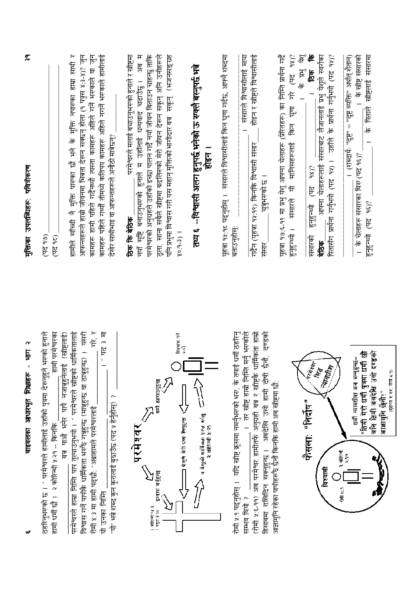| $\boldsymbol{\alpha}$<br>Ę<br>÷,<br>बाइबलका आधारभूत शिक्षाहरू<br>w                                                                                                                                                                                                                                                                                                                          | $\tilde{r}$<br>मुक्तिका उपलब्धिहरू पवित्रीकरण                                                                                                                                                                                                                                                                                                                                                              |
|---------------------------------------------------------------------------------------------------------------------------------------------------------------------------------------------------------------------------------------------------------------------------------------------------------------------------------------------------------------------------------------------|------------------------------------------------------------------------------------------------------------------------------------------------------------------------------------------------------------------------------------------------------------------------------------------------------------------------------------------------------------------------------------------------------------|
| ठहरिनुभरुको छ । " परमेश्वरले हामीलाई उहाँको पुत्रमा देरूनुहुने भरुको हुनाले<br>हामी परमेश्वरका<br>हामी धर्मी छौ । २ कोरिन्थी ५:२१ -- किनकि                                                                                                                                                                                                                                                  | (90<br>(पद १८)                                                                                                                                                                                                                                                                                                                                                                                             |
| म्<br>र<br>धार्मिकतालाई<br>विश्वास गर्ने पापीकै धार्मिकता भरुँदै गनुहुन्छ (मानुहुन्छ वा ठानुहुन्छ) ।  यसरी<br>下午<br>बत्र पाऔं भनेर पापै नजाबृहुनेलाई (स्त्रीष्टलाई)<br>$\mathfrak{p}$<br>परमेश्वरले हाम्रा निम्ति पाप तुल्याउनुभयो । " परमेश्वरले खीष्टको<br>"यो" भन्ने शब्द कुन कुरालाई बुरुाउँछ (पद ५ हेर्नुहोस्) ?<br>रोमी ४:३ मा हामी पद्छौं: "अब्राहामले परमेश्वरलाई<br>यो उनका सिर्दि | आफन्तहरूले हाम्रो जीवनमा भित्रता देख्न सक्छन् होला (१ पत्रुस ४:३-४)? जुन<br>कामहरू पहिले गर्थ्यौ तीमध्ये कतिपय कामहरू अहिले नगर्ने भरूकाले हामीलाई<br>हामीले सॉच्ची नै मुक्ति पारुका खै भने के मुक्ति नपारुका हाम्रा साथी र<br>$\overline{\mathfrak{h}}$<br>कामहरू हामी पहिले गर्दैनथ्यौ त्यस्ता कामहरू अहिले गर्ने भरकाले वा<br>देखेर साथीभाइ वा आफन्तहरूले अनौठी मात्रेछन्?                              |
| विषयास गर्ने<br>पापी<br>धर्मी रहराजनुहुन्छ<br>$\sum$<br>⊒ येशूले मेरो दण्ड लिनुहन्छ<br>परमेश्वर<br>इन्साफ गतुेहुन्छ<br>९ कोरिन्थी ५⊻.३<br>१ पतुस ३,१⊏                                                                                                                                                                                                                                       | परमेश्वरको अनुग्रहले उहाँको इच्छा पालन गर्दै नयाँ जीवन बिताउन चाहन्छु ताकि<br>अब म<br>ठूला. साना सबैले खीष्टमा बदलिरुको मेरो जीवन देरून सकून् अनि उनीहरूले<br>(भजनसङ्ग्रह<br>परमेश्वरले मलाई बचाउनुभरुको हुनाले र खीष्टमा<br><u>। छेट्टाउँ प</u><br>पनि प्रभुमा विश्वास गरी यस महान् मुक्तिको भागीदार बत्र   सकून्<br>सृष्टि बनाउनुभरुको हुनाले म उहाँलाई धन्यवाद<br>टिक कि बेठिक<br>$80:9-3)$  <br>.<br>स |
| म बेशुको धार्मिकता प्राप्त गर्दछ<br>२ कोरियों ५:२१                                                                                                                                                                                                                                                                                                                                          | तथ्य ६ --विश्वासी अलग हुनुपर्छ भनेको ऊ रुक्लै बस्नुपर्छ भन्ने<br>।<br>हिंद                                                                                                                                                                                                                                                                                                                                 |
| रोमी ४:९ पद्नुहोस् ।   यदि ख्रीष्ट कृसमा नमर्नुभरुको भरु,  के तपाई धर्मी ठहरिनु<br>(रोमी ५:६-११) अब परमेश्वर हामीतर्फ अनुग्रही बन्न र खीष्टकै धार्मिकता हाम्रो<br>दण्डको<br>मर्नु भरुकोले<br>ीन<br>नैर्छ<br>र<br>। तर खीष्ट हाम्रो निम्ति<br>अबदेखि उसी हामी दोषी<br>हिसाबमा राखिदिन सक्नुहुन्छ ।<br>सम्भव थियो                                                                             | होइन र खीष्टले विश्वासीलाई<br>यूहत्रा १५:१८ पद्नुहोस् ।   संसारले विश्वासीलाई किन घृणा गर्दछ, आफ्नै शब्दमा<br>संसारले विश्वासीलाई माया<br>गर्दैन (यूहन्ना १५:१९) किनकि विश्वासी संसार<br>चुनुभरुको छ ।<br>बताउनुहोस्:<br>संसार                                                                                                                                                                             |
| आज्ञामुनि रहेका पापीहरू रे छैनौ किनकि हामी अब ख्रीष्टमा छौ:                                                                                                                                                                                                                                                                                                                                 | $\overleftarrow{\mathcal{R}}^6$<br>यूहत्रा १७:६-१९ मा प्रभु येशू आफ्ना चेलाहरू (प्रेरितहरू) का निम्ति प्रार्थना गर्दै<br>$(45 - 68)$<br>$\overline{\mathbf{g}}^2$<br>$\frac{1}{6}$<br>पूण गरे<br>कि<br>टि<br>मानिसहरूलाई<br>$\overline{R}$<br>संसारले<br>हनुहन्थ्यो ।                                                                                                                                      |
| Rate C<br>$\oint_{\mathbb{R}}$<br>MARIN<br>फैसलाः "निर्दोष"<br>र कोरियाँ<br>विश्वासी<br>tuti 6.1                                                                                                                                                                                                                                                                                            | 适<br>94)?<br>संसारबाट लैजानलाई प्रभु येशूले स्वर्गका<br>हि<br>के प्रार्थना गर्नुभयो (पद<br>पितासँग प्रार्थना गर्नुभयो (पद ११) । उहाँले<br>आफ्ना चेलाहरूलाई<br>$(45 - 6)$<br>हुनुहुन्थो<br>संसारको<br>बेठिक                                                                                                                                                                                                 |
| अनि तिमी अवदेखि उसो दण्डको<br>"तिमी मेरो धर्मी पुत्रमा धर्मी छौ<br>धर्मी न्यायधीश अब भन्तुहुन्छ–<br>(बृहन्ना ५:२४; रोपी ८:१)<br>आज्ञामुनि छैनौ।"<br>$\frac{9}{3}$                                                                                                                                                                                                                           | । के खीष्ट संसारको<br>संसारमा<br>(शब्दार्थः "दुष्टु" = "दुष्टु व्यक्ति" अर्थात् शैतान)<br>के पिताले खीष्टलाई<br>के चेलाहरू संसारका थिरु (पद १६)?<br>98)?<br>हुनुहुन्थ्यो (पद<br>$\overline{a}$                                                                                                                                                                                                             |

w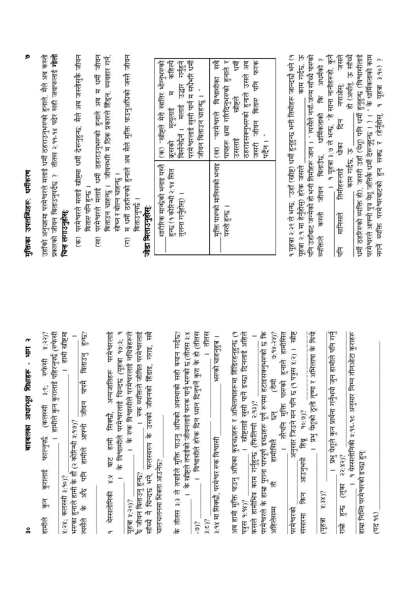| $\boldsymbol{\alpha}$<br>Ę<br>p<br>बाइबलका आधारभूत शिक्षाहरू<br>္ဂိ                                                                                                                                                                                                                                                                                                                                                                                                                                                  | ୭<br>मुक्तिका उपलब्धिहरू: धर्मीकरण                                                                                                                                                                                                                                                                                                                                                                                                                                                                                                                                                                                                                                                                                 |
|----------------------------------------------------------------------------------------------------------------------------------------------------------------------------------------------------------------------------------------------------------------------------------------------------------------------------------------------------------------------------------------------------------------------------------------------------------------------------------------------------------------------|--------------------------------------------------------------------------------------------------------------------------------------------------------------------------------------------------------------------------------------------------------------------------------------------------------------------------------------------------------------------------------------------------------------------------------------------------------------------------------------------------------------------------------------------------------------------------------------------------------------------------------------------------------------------------------------------------------------------|
| । हामी ख्रीष्ट्रमा<br>8:327<br>हामीले कुन कुरालाई पहिरनुपर्छ (रुफेसी<br>३.९; स्प्फेसी<br>फाल्नुपर्छ (कलस्सी<br>कुरालाई<br>४:२४; कलस्सी ३:१०)?<br>$\overline{\xi}$<br>हामति                                                                                                                                                                                                                                                                                                                                           | तीतस २:११-१४ पढेर सही जवाफलाई <b>गोलो</b><br>उहाँको अनुग्रहमा परमेश्वरले मलाई धर्मी ठहराउनुभरुको हुनाले. मैले अब कस्तो<br>प्रकारको जीवन बिताउनुपर्दछ ?<br>चिन्ह लगाउनुहोस्:                                                                                                                                                                                                                                                                                                                                                                                                                                                                                                                                        |
| र्वि<br>hc?<br>$\mathbb{F}^2$<br>जीवन पापमै बिताउ<br>भरग्का हुनाले हामी के हौं (२ कोरिन्थी १:१७)?<br>हामीले आफ्नो<br>Ę<br>्रीय<br>अर्<br>$\frac{1}{6}$<br>प स्टू<br>रि                                                                                                                                                                                                                                                                                                                                               | परमेश्वरले मलाई स्त्रीष्टमा धर्मी देख्नुहुन्छ: मैले अब जस्तोसुकै जीवन<br>बितारु पनि हुन्छ ।<br>$\widehat{\mathfrak{F}}$                                                                                                                                                                                                                                                                                                                                                                                                                                                                                                                                                                                            |
| परमेश्वरलाई<br>। के विश्वासीले परमेश्वरलाई चिन्दछ (यूहचा १७:३;<br>अन्यजातिहरू<br>सिक्छौ<br>बाट हामी<br>برد<br>نخ<br>धस्सलोनिकी<br>$\sigma$                                                                                                                                                                                                                                                                                                                                                                           | अब म धर्मी जीवन<br>व्यवहार गने<br>जीवनभरि म ठिक प्रकारले हिंड्न.<br>धर्मी ठहराउनुभरुको हुनाले<br>सोच्न र बोल्न चाहन्छु ।<br>बिताउन चाहन्छु ।<br>परमेश्वरले मलाई<br>(स्व)                                                                                                                                                                                                                                                                                                                                                                                                                                                                                                                                           |
| ष्ट्र<br>रि<br>।   रुक व्यक्तिले जीवित परमेश्वरलाई<br>।  के रुक विश्वासीले परमेश्वरलाई नचित्रेहरूले<br>गराइ,<br>फलस्वरुप के उसको जीवनको हिंडाइ,<br>नै चिन्दछ भने,<br>फें जीवन बिताउनु हुन्छ?<br>यूहत्रा ५:२०)?<br>्रां<br>सांच्                                                                                                                                                                                                                                                                                      | म धर्मी ठहरिरुको हुनाले अब मैले मुक्ति पाउनुअधिको जस्तै जीवन<br>बिताउनपर्छ ।<br>जोडा मिलाउनुहोस्<br>$\widehat{E}$                                                                                                                                                                                                                                                                                                                                                                                                                                                                                                                                                                                                  |
| ।   विश्वासीले हरेक दिन ध्यान दिनुपर्ने कुरा के हो (तीतस<br>तीतस<br>३:३ ले तपाईले मुक्ति पाउनु अधिको अवस्थाको सही बयान गर्दछ?<br>।   के खीष्टले तपाईको जीवनलाई फरक पार्नु भरुको छ (तीतस ३:४<br>चालचलनमा भिन्नता आउनेछ?<br>के तीतस<br>5(2.5)<br>$-9$ <sup>2</sup>                                                                                                                                                                                                                                                     | परमेश्वरलाई खुसी पार्न म सधैभरि धर्मी<br>(क) "खीष्टले मेरो खातिर भोग्नुभरुको<br>कहिल्यै<br>गन्हन<br>मलाई उद्धार<br>जीवन बिताउन चाहन्छु । "<br>F<br>मृत्युलाई<br>बिर्सनेर्दने ।<br>क्रसको<br>शारीरिक मान्छेको भनाइ यस्तै<br>हुन्छ (१ कोरिन्थी २:१४ सित<br>तुलना गर्नुहोस्) ।                                                                                                                                                                                                                                                                                                                                                                                                                                        |
| अब हामी मुक्ति पाउनु अधिका कुइच्छाहरू र अभिलाषाहरूमा हिँडिरहनुहुन्छ (१<br>परमेश्वरले के हाम्रा पुराना पापपूर्ण इच्छाहरू पूर्ण रूपमा हटाइसक्नुभरुको छ कि<br>ख्रीष्टलाई खुसी पानें इच्छा दिनलाई अहिले<br>$6.65 - 66.6$<br>भरुको चाहनुहुन्न ।<br>怎<br>कसले हामीभित्र काम गर्नुहुन्छ (फिलिप्पी २:१३)?<br>$\mathbb{E}$<br>३:१४ मा सिक्छौ, परमेश्वर रुक विश्वासी<br>हामीसितै<br>$\overline{\phantom{0}}$<br>乍<br>पत्रस १:१४)?<br>अहिलेसम                                                                                   | $\overline{\mathcal{F}}$<br>पापहरू क्षमा गरिदिनुभरुको हुनाले र<br>ţ<br>उसले अब<br>केरक<br>विश्वासीका<br>₽<br>ठहराइसक्नुभरुको हुनाले<br>खितार<br>खाष्टले<br>"परमेश्वरले<br>न जून<br>ज<br>उसलाई<br>$\frac{1}{\sqrt{2}}$<br>पुरम्भ<br>(स्र)<br>मुक्ति पारुको मानिसको भनाइ<br>यस्तो हुन्छ ।                                                                                                                                                                                                                                                                                                                                                                                                                            |
| अनुसार जिउने मन पनि छ (१ पत्रुस ४:२) ।   स्त्रीष्ट<br>। प्रभु येशूको ठूलो तृष्णा र अभिलाषा के थियो<br>।   प्रभु येशूले कुन प्रार्थना गर्नुभयो जुन हामीले पनि गर्नु<br>१ थेस्सलोनिकी ५:१६-१८ अनुसार निम्न तीनऔटा कुराहरू<br>हामसित<br>तरैपनि मुक्ति पारुको हुनाले<br>90:90?<br>Jec <sub>o</sub><br>हाम्रा निम्ति परमेश्वरको इच्छा हुन्:<br>$22:82)$ ?<br>अाउनुभयो<br><u>(स</u> ूक)<br>$8:38$ )?<br>$\sqrt{\frac{1}{6}}$<br>$\begin{matrix} 18 \\ 10 \end{matrix}$<br>परमेश्वरको<br>(पट १६)<br>संसारमा<br>(यहन्ना<br>官 | <u> १ यू</u> हत्रा २:२९ ले भन्छ, "उहाँ (खीष्ट) धर्मी हुनुहुन्छ भनी तिमीहरू जान्दछौ भने (१<br>काम गर्दछ, ऊ<br>धर्मी ठहरिरुको व्यक्ति हो), जसरी उहाँ (येशू) पनि धर्मी हुनुहुन्छ (विश्वासीलाई<br>परमेश्वरले आफ्नो पुत्र येशू जत्तिकै धर्मी देरूनुहुन्छ । ) । " के धार्मिकताको काम<br>पनि उहाँबाट जन्मेको हो भनी तिमीहरू जान । " तसैले नगाँ-जन्म साँच्चै पारुको<br><u>१ यृहत्रा ३:७ ले भन्छ. "हे साना नानीहरूहो, कुनै</u><br>個标的 lylako) 伛<br>हास्मल<br>अधर्मको ?<br>१ युहत्रा ३:१०) ?<br>नपाओस्.<br>Æ<br>नगर्ने व्यक्ति परमेश्वाटको हुन सक्छ र (हेर्नुहोस्,<br>धार्मिकताको<br>E<br>दीका<br>काम गर्दछ. ऊ<br>जीवन बिताउँछ.<br>तिमीहरूलाई<br>यूहत्रा २:१ मा हेर्नुहोस्) हरेक जसले<br>कस्त्री<br>मानिसले<br>व्यक्तिल<br>售 |

मक्तिका उपलब्धिहरू: धर्मीकरण

୭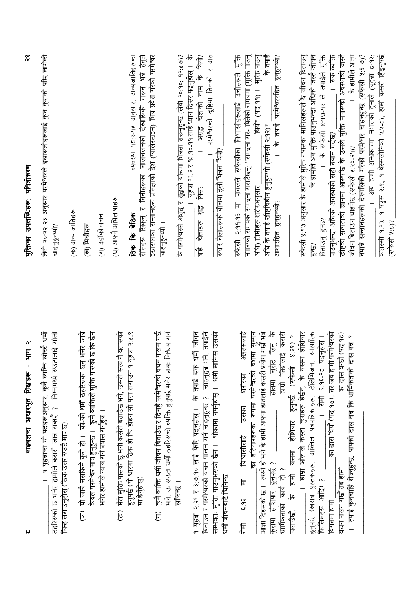| $\boldsymbol{\gamma}$<br>let -<br>बाइबलका आधारभूत शिक्षाहरू<br>N                                                                                                                                                                                                                                                                                                                                                                             | $\tilde{\mathbf{r}}$<br>मुक्तिका उपलब्धिहरू पवित्रीकरण                                                                                                                                                                                                                                                                                                                                                                                                                                                                                                                                                                                                               |
|----------------------------------------------------------------------------------------------------------------------------------------------------------------------------------------------------------------------------------------------------------------------------------------------------------------------------------------------------------------------------------------------------------------------------------------------|----------------------------------------------------------------------------------------------------------------------------------------------------------------------------------------------------------------------------------------------------------------------------------------------------------------------------------------------------------------------------------------------------------------------------------------------------------------------------------------------------------------------------------------------------------------------------------------------------------------------------------------------------------------------|
| <u>। १ यूहत्राका यी पदहरूअनुसार, कुनै व्यक्ति साँच्चै धर्मी</u><br>ठहरिरुको छ भनेर हामीले कसरी जान्न सक्छौ ? निम्नमध्ये रुउटालाई गौली<br>चिन्ह लगाउनुहोस् (ठिक उत्तर रुउटै मात्र छ):                                                                                                                                                                                                                                                         | लेवी २०:२२-२३ अनुसार परमेश्वरले इस्रारूलीहरूलाई कुन कुराको पछि लागेको<br>(क) अन्य जातिहरू<br>चाहनुहुन्थ्यो?                                                                                                                                                                                                                                                                                                                                                                                                                                                                                                                                                          |
| केवल परमेश्वर मात्र हुनुहुन्छ ।   कुनै व्यक्तिले मुक्ति पारुको छ कि छैन<br>(क) यो जान्नै नसकिने कुरो हो ।  को-को धर्मी ठहरिरुका छन् भनेर जान्ने<br>भनेर हामीले न्याय गर्ने प्रयास गर्नुहुन्न ।                                                                                                                                                                                                                                               | (ग) उहाँको वचन<br>(ख) मिश्रीहरू                                                                                                                                                                                                                                                                                                                                                                                                                                                                                                                                                                                                                                      |
| मैले मुक्ति पारुको छु भनी कसैले बताउँछ भने, उसले सत्य नै बतारुको<br>हुनुपर्छ (यो धारणा ठिक हो कि होइन सो पत्ता लगाउन १ यूहत्रा २:४,९<br>मा हेर्नुहोस्) ।<br>(ख़)                                                                                                                                                                                                                                                                             | व्यवस्था १८:९-१४ अनुसार, अन्यजातिहरूका<br>चालचलनको देखासिकी गरून् भन्ने हेतुले<br>रीतिहरू सिकून् र तिनीहरूका<br>(घ) आफ्नै अभिलाषाहरू<br>ठिक कि बेठिक                                                                                                                                                                                                                                                                                                                                                                                                                                                                                                                 |
| भने, ऊ रुउटा धर्मी ठहरिरुको व्यक्ति हुनुपर्द्ध भनेर प्रायः निश्चय गर्न<br>कुनै व्यक्ति धर्मी जीवन बिताउँछ र दिनहुँ परमेश्वरको वचन पालन गर्छ<br>सकिन्छ ।<br>$\widehat{E}$                                                                                                                                                                                                                                                                     | इस्रारुलका सन्तानहरू प्रतिज्ञाको देश (प्यालेस्टाइन) भित्र प्रवेश गरेको परमेश्वर<br>के परमेश्वरले अशुद्ध र शुद्धको बीचमा भित्रता रारूनुहुन्छ (लेवी १०:१०; ११:४७)?<br>चाहनुहुन्थ्यो ।                                                                                                                                                                                                                                                                                                                                                                                                                                                                                  |
| १ यूहत्रा २:२९ र ३:७,१० लाई फेरि पद्नुहोस् ।  के तपाई रुक धर्मी जीवन<br>बिताउन र परमेश्वरको वचन पालन गर्न चाहनुहुन्छ ?   चाहनुहुन्न भने, तपाईले<br>सम्भवतः मुक्ति पाउनुभरुको छैन ।  धोकामा नपर्नुहोस् ।  धर्मी मानिस उसको<br>धर्मी जीवनबाटे चिनिन्छ ।                                                                                                                                                                                        | यूहचा १३:२ र १३:१०-११ लाई ध्यान दिरुर पढ्नुहोस् ।   के<br>थियो?<br>परमेश्वरको दृष्टिमा तिनको र अरु<br>$\frac{1}{6}$<br>चेलाको नाम<br><b>APIE</b><br>$\overline{a}$<br>रुघार चेलाहरूको बीचमा ठूलो भिन्नता थियो?<br>थिरु?<br>$\mathbb{E}^3$<br>चेलाहरू<br>die<br>To                                                                                                                                                                                                                                                                                                                                                                                                    |
| हातमा चुरोट लिनु के<br>अङ्गहरूलाई<br>वशमा सुम्पन<br>आज्ञा दिइरुको छ । ल्यसो हो भने के हामी आफ्ना हातलाई कसरी प्रयोग गर्छौ भन्ने<br>जिब्रोलाई कसरी<br>के हामी यसमा होशियार हुनुपर्छ (रुफेसी ४:२९)?<br>का हतियारहरूका रूपमा परमेश्वरको<br>शरीरका<br>信<br>$\overline{a}$<br>$\overline{a}$<br>उसका<br>विश्वासीलाई<br>कुरामा होशियार हुनुपर्छ ? <sub>—</sub><br>धार्मिकताको कार्य हो ? <sub>—</sub><br>Ħ<br>$\frac{1}{\sqrt{2}}$<br>चलाउँछो<br>怎 | रुफेसी २:११-१३ मा पावलले रुफेसीका विश्वासीहरूलाई उनीहरूले मुक्ति<br>नपारुको समयको सम्प्रना गराउँछन्: "सम्प्रना गर- बितेको समयमा (मुक्ति पाउनु<br>थियो" (पद ११) । मुक्ति पाउनु<br>। के तगई<br>।  के तपाई परमेश्वररहित हुनुहुन्थ्यो?<br>अधि के तपाई खीष्टविहीन हुनुहुन्थ्यो (रुफेसी २:१२)?<br>अधि) तिमीहरू शरीरअनुसार<br>हुनुहुन्थ्यो?<br>आशारहित                                                                                                                                                                                                                                                                                                                      |
| टेलिभिजन, सांसारिक<br>का दास थियौ (पद १७), तर जब हामी परमेश्वरको<br>का दास बन्छौ (पद १८)<br>के यसमा होशियार<br>पढ्नुहोस् ।<br>दास बन्न ?<br>$5 - 36.3$<br>तपाई कुनचाहिँ रोज्नुहुन्छ, पापको दास बन्न कि धार्मिकताको<br><u>।</u> हाम्रा ऑखाले कस्ता कुराहरू हेर्छन्,<br>年<br>-<br>हुनुपर्छ (खराब पुस्तकहरू, अश्लिल पत्रपत्रिकाहरू,<br>फिलिमहरू आदि) ?<br>वचन पालन गर्छौ तब हामी<br>विगतमा हामी                                                 | । स्क $\frac{1}{2}$<br>खीष्टको सत्यताको ज्ञानमा आरुपाँछ के उसले मुक्ति नपारुको अवस्थाको जस्तै<br><u>।</u> के हामीले अब मुक्ति पाउनुभन्दा अधिको जस्तै जीवन<br>– । अब हामी अन्धकारमा नभरूको हुनाले (यूहबा ट:१२;<br>कलस्सी १:१३; १ पत्रुस २:९; १ थेस्सलोनिकी ४:४-८), हामी कसरी हिँड्नुपर्छ<br>. । के रुफेसी ४:१७-१९ ले तपाईले मुक्ति<br>के हामीले आज्ञा<br>नमात्रे सन्तानहरूको देखासिकी गरेको परमेश्वर चाहनुहुन्छ (रुफेसी ५:६-७)?<br>रुफेसी ४:१७ अनुसार के हामीले मुक्ति नपारुका मानिसहरूले के जीवन बिताउनु<br>$\overline{\phantom{0}}$<br>पाउनुभन्दा अधिको अवस्थाको सही बयान गर्दछ?<br>जीवन बिताउन चाहनेछ (रुफेसी ४:२०-२१)?<br>बिताउनु हुन्छ?<br>$\widetilde{\vec{p}}$ |
|                                                                                                                                                                                                                                                                                                                                                                                                                                              | (राज्यमिक)?                                                                                                                                                                                                                                                                                                                                                                                                                                                                                                                                                                                                                                                          |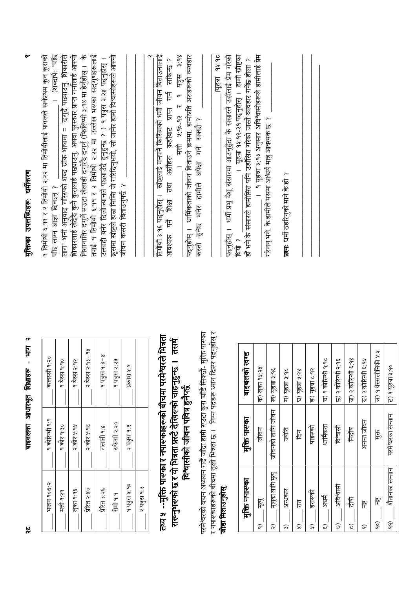| बाइबलको खण्ड   | क) लूका १५:२४ | ख) यूहत्रा ३:१६            | ग) यहचा ३:१८ | घ) यहत्रा ५:२४ | ङ) यूहत्रा ट:१२ | च) १ कोरिन्थी १:१८ | छ) २ कोरिन्थी २:१६ | ज) २ कोरिन्थी ६:१४      | হ) २ कोरिन्थी ६:११ | স: x determines or CB | ट) १ यूहचा ३:१०      |  |
|----------------|---------------|----------------------------|--------------|----------------|-----------------|--------------------|--------------------|-------------------------|--------------------|-----------------------|----------------------|--|
| मुक्ति पारुका  | 百万            | जीवनको लागि जीवन           | 信            | 尼              | पाइस्को         | धार्मिकता          | विश्वासी           | निर्दोष                 | अनन्त जीवन         | Ę,                    | परमेश्वरका सन्तान    |  |
| मुक्ति नपारुका | 腎<br>ခ        | मृत्युका लागि मृत्यु<br>సా | अन्धकार<br>୷ | Ĕ<br>ଛ         | हरास्को<br>ુ    | <b>Ash</b><br>ా    | अविश्वासी<br>ତି    | 怎<br>$\widehat{\omega}$ | ٣<br>ွ             | ٣<br>ခဲ့              | शैतानका सन्तान<br>ଚି |  |

# बाइबलका आधारभूत शिक्षाहरू - भाग २

| कलस्सी १:२०    | १ थेस्स १:१० | १ थेस्स २:१२ | २ थेस्स २:१३-१४ | १ पत्रुस १:३-४ | १ पत्रुस २:२५ | प्रकाश ५:९    |              |
|----------------|--------------|--------------|-----------------|----------------|---------------|---------------|--------------|
| १ कोरिन्थी १:९ | १ कोर १:३०   | २ कोर ५:१५   | २ कोर ५:१८      | गलाती १:४      | रुफेसी २:२०   | २ पत्रुस १:९  |              |
| भजन १०७:२      | मत्ती १:२१   | लूका १.१६    | प्रोरित २:४०    | प्रेरित ३:२६   | रोमी १:१      | १ पत्रुस ५:१० | २ पत्रुस १:३ |

### तथ्य ५ --मुक्ति पारूका र नपारूकाहरूको बीचमा परमेश्वरले भिन्नता रारूनुभरूको छ र यो भिन्नता प्रस्टै देखिरुको चाहनुहुन्छ । तसर्थ<br>विश्वासीको जीवन पवित्र हुनैपर्छ

र नपारूकाहरूको बीचमा ठूलो भिन्नता छ । निम्न पदहरू ध्यान दिरुर पद्नुहोस् र परमेश्वरको वचन अध्ययन गर्दै जाँदा हामी रुउटा कुरा चाँडै सिक्छै- मुक्ति पारुका जोडा मिलाउनुहोस्

 $\overline{z}$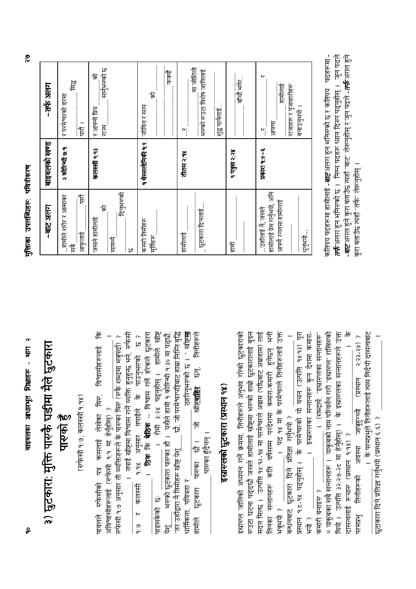बाइबलका आधारभूत शिक्षाहरू - भाग २

#### ३) छुटकारा: मुक्ति पारुकै घडीमा मैले छुटकारा पारुको हैं

(रुफेसी १:७; कलस्सी १:१४)

| 适                                                                                                      |                                                                                                                                            |                                                              |                       |                                                                                       |                       |              |                 |
|--------------------------------------------------------------------------------------------------------|--------------------------------------------------------------------------------------------------------------------------------------------|--------------------------------------------------------------|-----------------------|---------------------------------------------------------------------------------------|-----------------------|--------------|-----------------|
|                                                                                                        | तपाई ख्रीष्टमा विश्वास गर्ने व्यक्ति हुनुहुन्छ भने, रुफेर्स<br>रुफेसी १:७ अनुसार ती व्यक्तिहरूले के पारुका थिरु (रुकै शब्दमा भन्नुपर्दा) ? | <b>ठिक कि बेठिक</b> -- विश्वास गर्ने हरेकले छुटकार<br><br> ರ | हामीले खीष्ट          | छी, जी परमेश्वरपट्टिबाट हाम्रा निर्मि बुद्धि<br>यसैले हामी १ कोरिन्थी १:३० मा पद्छौं, | <b>Halle</b> .        | तिनीहरूले    |                 |
|                                                                                                        |                                                                                                                                            |                                                              |                       |                                                                                       |                       |              |                 |
|                                                                                                        |                                                                                                                                            | पाउनुभरुको                                                   |                       |                                                                                       | ठहरिनुभरुको छ ।       | ls.<br>ls    |                 |
|                                                                                                        |                                                                                                                                            |                                                              |                       |                                                                                       |                       |              |                 |
|                                                                                                        |                                                                                                                                            |                                                              |                       |                                                                                       |                       | स्रोष्टबाहिर |                 |
|                                                                                                        |                                                                                                                                            | <sub>१.१४</sub> अनुसार तपाईले के                             | रोमी ३:२४ पढ्नुहोस् । |                                                                                       |                       |              |                 |
|                                                                                                        |                                                                                                                                            |                                                              |                       |                                                                                       |                       | 厉            |                 |
|                                                                                                        |                                                                                                                                            |                                                              |                       |                                                                                       |                       |              |                 |
|                                                                                                        |                                                                                                                                            |                                                              |                       |                                                                                       |                       | —<br>'টি     | पारुका हुँदैनन् |
|                                                                                                        |                                                                                                                                            |                                                              |                       |                                                                                       |                       |              |                 |
|                                                                                                        |                                                                                                                                            |                                                              |                       |                                                                                       |                       | पारुका       |                 |
|                                                                                                        |                                                                                                                                            |                                                              |                       |                                                                                       |                       |              |                 |
|                                                                                                        |                                                                                                                                            | कलस्मी                                                       |                       | भरूको छुटकारा पारुका हो ।                                                             |                       | छुटकारा      |                 |
|                                                                                                        |                                                                                                                                            |                                                              |                       |                                                                                       |                       |              |                 |
| पावलले रुफेसीको पत्र कसलाई लेखेका थिरु, विश्वासीहरूलाई<br>अविश्वासीहरूलाई (रुफेसी १:१ मा हेर्नुहोस्) ? |                                                                                                                                            |                                                              | ाइसकका छः             | तर उहाँद्वारा नै तिमीहरू स्नीष्ट येशू                                                 | धार्मिकता, पवित्रता र |              |                 |
|                                                                                                        |                                                                                                                                            | و<br>نن                                                      |                       | ¥                                                                                     |                       | हामीले       |                 |

तेनका सन्तानहरू कति वर्षसम्म परदेशमा कमारा-कमारी हुनेछन् भनी । पद १४ मा के परमेश्वरले तिनीहरूलाई उक्त मदत मिल्छ । उत्पत्ति १४:१२-१४ मा परमेश्वरले अन्नाम (पढिबाट अन्नाहाम) लाई इस्रारुल जातिको अध्ययन गर्ने क्रममा, तिनीहरूले अनुभव गरेको छुटकाराको रुउटा घटना पद्दछौ जसले हामीलाई ख्रीष्टमा भरुको हाम्रो छुटकारालाई बुझ्न इस्रारूलको छूटकारा (प्रस्थान १४) बन्धनबाट छुटकारा दिने प्रतिज्ञा गर्नुभयो ? ५ ग्रिभयो ?

乍 आफूलाई

| जसले हामीलाई                                       | कलस्सी १:१३       | 佞<br>र आफ्नो प्रिय                 |
|----------------------------------------------------|-------------------|------------------------------------|
| दिनुभरुको<br>乍<br>सामर्थ<br>lø                     |                   | सानुभरुको छ<br>厚                   |
| कसरी तिमीहरू<br>मूर्तिहरू                          | १ थेस्सलोनिकी १:९ | 佞<br>जीवित र सत्य                  |
|                                                    |                   | कैकोँ                              |
| हामीलाई                                            | तीतस २:१४         | ۲.                                 |
| _ छुटकारा दिनलाई                                   |                   | 信仰市<br>भरण्को रण्डटा विशेष जातिलाई |
|                                                    |                   | शुद्ध पार्नलाई                     |
| 怎                                                  | १ पत्नुस २:२४     | बॉची भनेर                          |
|                                                    |                   |                                    |
| content of the second                              | $\frac{1}{2} - 5$ | ١v<br>$\mathsf{P}'$                |
| हामीलाई प्रेम गर्नुभयो, अनि<br>आफ्ने रगतमा हामीलाई |                   | हामीलाई<br>आफ्ना                   |
|                                                    |                   | राजाहरू र पूजाहारीहरू              |
| धनुभयो                                             |                   | बनाउनुभयो                          |

कतिपय पदहरूमा हामीलाई **-***बाट* **अ**लग हुन भनिरुको छ र कतिपय पदहरूमा -**तर्फ** अतग हून भनिरुको छ । निम्न पदहरू ध्यान दिरुर पद्नुहोस् । जुन पदले - *बाट* अगल हुने कुरा बताउँछ त्यहाँ "बाट" लेरूनुहोस् र जुन पदले -*तर्फ* अगल हुने रुरा बताउँछ त्यहाँ "तर्फ" लेरूनुहोस् ।

 $\frac{1}{6}$ 

थियो । उत्पत्ति ३२.२७-२८ मा हेर्नुहोस्) । के इस्रारूलका सन्तानहरूले उक्त

दासत्वलाई रूचारु (प्रस्थान १:१४) ? तिनीहरूको अवस्था

Frkheh

= याकूबका सबै सन्तानहरू । याकूबको नाम परिवर्तन गरी "इस्रारूल" राखिरुको

कमारी बनाइरु ?

、行

प्रस्थान १:८-१४ पदनुहोस् । के परमेश्वरको यो वचन (उत्पत्ति १५:१३) पूरा<br>प्रस्थान १:८-१४ पदनुहोस् । के परमेश्वरको यो वचन (उत्पत्ति १५:१३) पूरा

. । इस्रारुलका सन्तानहरू कुन देशमा कमारा

। (शब्दार्थ: "इस्रारुलका सन्तानहरू"

। के परमप्रभूले तिनीहरूलाई त्यस निर्दयी दासत्वबाट

छुटाकारा दिने प्रतिज्ञा गर्नुभयो (प्रस्थान ६:६) ?

 $\delta$  ( $\delta$ -ssl)  $\delta$  =  $\delta$ 

जानुहुन्थ्यो

 $\frac{9}{3}$ 

 $\frac{1}{\sqrt{2}}$ 

पारौँ ।

र परमेश्वरको डरमा

२ कोरिन्थी ७:१

..हामीले शरीर र आत्माका

 $\overline{\mathcal{E}}$ 

-तर्फ अलग

बाइबलको खण्ड

 $-$ बाट अलग

<u>मक्तिका उपलब्</u>धिहरू पवित्रीकरण

 $\epsilon$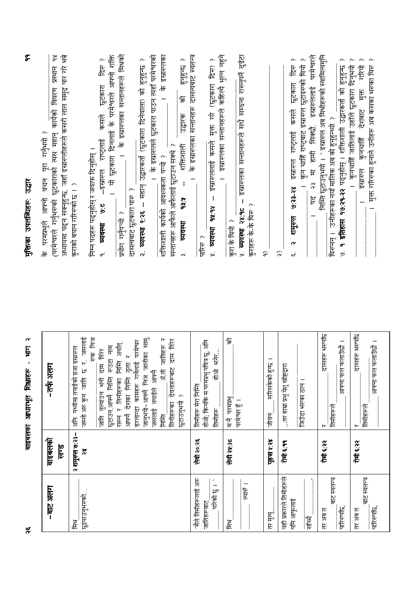| w                                                   |                              | $\boldsymbol{\alpha}$<br>Ę<br>$\mathbf{I}$<br>बाइबलका आधारभूत शिक्षाहरू                                                                                                                                                                                                                                                                                                                                                                                | $\tilde{\tau}$<br>मुक्तिका उपलब्धिहरू: उद्धार                                                                                                                                                                                                                                                                                                                                                                                                                                                                                                                                                                                 |
|-----------------------------------------------------|------------------------------|--------------------------------------------------------------------------------------------------------------------------------------------------------------------------------------------------------------------------------------------------------------------------------------------------------------------------------------------------------------------------------------------------------------------------------------------------------|-------------------------------------------------------------------------------------------------------------------------------------------------------------------------------------------------------------------------------------------------------------------------------------------------------------------------------------------------------------------------------------------------------------------------------------------------------------------------------------------------------------------------------------------------------------------------------------------------------------------------------|
| $-$ बाट अलग                                         | बाइबलको<br>खण्ड              | -तर्फ अलग                                                                                                                                                                                                                                                                                                                                                                                                                                              | अध्यायमा पढ्न सक्नुहुन्छ, जहाँ इस्रारूलीहरूले कसरी लाल समुद्र पार गरे भन्ने<br>$\frac{8}{5}$<br>(परमेश्वरले गर्नुभरूको छुटकाराको त्यस महान् कार्यको विवरण प्रस्थान<br>पूरा गर्नुभयो ?<br>के परमप्रभूले आफ्नो वचन                                                                                                                                                                                                                                                                                                                                                                                                              |
| <u>छुट्टयाउनुभरुको</u><br>產                         | २ शानूरुल ७:२३-<br>$\approx$ | र. जसलाई<br>जानुभयो-आफ्नै निज जातीका स्रामु,<br>रण्क मिज<br>जातिहरू र<br>ताम सिर<br>डरलाग्दा कामहरू गर्नलाई परमेश्वर<br>राख्न र तिनीहरूका निम्ति अर्थात्<br>साम चाम<br>इस्रास्टल<br>दाम सिर<br>ठूला र<br>पर्थ्वीमा तपाईँको प्रजा<br>देवताहरूबाट<br>$\boldsymbol{\mathfrak{b}}$<br>元物<br>जसलाई तपाईले आफ्नै<br>आफ्ने देशका निमि<br>信<br>जाति तुल्याउन भनी<br><b>GET THE FIRE</b><br>जस्तो अरु कुन<br>$\sim$<br>छुटाउनुभयी<br>तिनीहरूका<br>E<br>ch<br>15 | के इस्रारुलका सन्तानहरूले मिश्रको<br>। यो छुटकारा दिनलाई के परमेश्वरले आफ्नो शक्ति<br>। के इस्रारूलले छुटकारा पाउन त्यहाँ परमेश्वरको<br>के इस्रारूलका<br>२. <b>व्यवस्था ९:२६ -- म</b> हान् उद्घारकर्ता (छुटकारा दिनेवाला) को हुनुहुन्छ ?<br>हनहरू ?<br>छुटकारा दिस ?<br>क्र<br>कसले<br>उद्घारक<br>राष्ट्लाई<br>शक्तिशाली<br>सन्तानहरू आफैले आफैलाई छुटाउन सक्थे ?<br>निम्न पदहरू पढ्नुहोस् र जवाफ दिनुहोस् ।<br>शक्तिशाली कार्यको आवश्यकता पऱ्यो ?<br>– इसारुल<br>कुराको बयान गरिसको छ । )<br>दासत्वबाट छुटकारा पारु ?<br>as:A<br>دا<br>نو<br>प्रयोग गर्नुपऱ्यो ?<br>व्यवस्था<br>ज्यवस्था<br>$\sigma$<br>$\tilde{\mathbf{z}}$ |
| "मैले तिमीहरूलाई अरु<br>٠<br>परिको छु<br>जातिहरूबाट | लेवी २०:२६                   | होओ; किनकि म परमप्रभु पवित्र छु, अनि<br>भनेरे<br>怎位<br>तिमीहरू मेरा निम्ति<br>तिमीहरू                                                                                                                                                                                                                                                                                                                                                                  | के इस्रारुलका सन्तानहरू दासत्वबाट स्वतन्त्र<br>मुक्त गरे (छुटकारा दिस) ?<br>इस्रारणाई कसले<br>$\mathbf i$<br><b>Abish</b><br><u>Ikabho</u><br>पारिस ?<br>$\dot{\infty}$                                                                                                                                                                                                                                                                                                                                                                                                                                                       |
| । कार<br>產                                          | लेवी २५:३८                   | 乍<br>मनै परमप्रभु<br>परमेश्वर हुँ ।                                                                                                                                                                                                                                                                                                                                                                                                                    | इस्रारुलका सन्तानहरूले कहिल्यै भुल्न नहुने<br>इस्रारुलका सन्तानहरूले सधै सम्बना राख्नुपर्ने दुईटा<br>$\overline{\phantom{0}}$<br>कुराहरू के-के थिरु ?<br>26.82 leading it<br>कुरा के थियो ?                                                                                                                                                                                                                                                                                                                                                                                                                                   |
| तर मृत्यू                                           | ४८:४ ए. थेरे                 | सरिसकेको हुन्छ ।<br>जीवन                                                                                                                                                                                                                                                                                                                                                                                                                               | $\widehat{\sigma}$                                                                                                                                                                                                                                                                                                                                                                                                                                                                                                                                                                                                            |
| यही प्रकारले तिमीहरूले<br>पनि आफूलाई<br>洞           | रोमी ६:११                    | ाउँ होमा प्रभु येशू स्त्रीष्ट्रद्वार<br>जिउँदा भरण्का ठान                                                                                                                                                                                                                                                                                                                                                                                              | २३ मा हामी सिक्खौ, इस्रारुललाई परमेश्वरले<br>$\sim$<br><b>RAY</b><br>कुन चाहिं राष्ट्रबाट इस्रारुल छुटाइरुको थियो<br>इस्रास्त राष्ट्रताई कसले छूटकारा<br>शमूरुल ७:२३-२४<br>$\overline{\phantom{0}}$<br>ķ<br>જ<br>$\widehat{\widetilde{\phantom{w}}}\hspace{0.2cm}$<br>w                                                                                                                                                                                                                                                                                                                                                       |
| बाट स्वतन्त्र<br>पारिस्पछि<br>तर अब त               | रोमी ६:२२                    | दासहरू भरुपछि<br>। ब्रिटेगाज्य फल फलाउँछौ<br>तिमीहरूले<br>$\overline{\mathsf{h}}$                                                                                                                                                                                                                                                                                                                                                                      | निम्ति छुटाउनुभयो । " इस्रारुल अब मिश्रीहरूको स्वामित्वमुनि<br><b>इतिहास १७:२१-२</b> २ पद्नुहोस् । शक्तिशाली उद्घारकर्ता को हुनुहुन्छ<br>थिरुनन् । उनीहरूका नयाँ मालिक अब को हुनुहुन्थ्यो ?<br>نو                                                                                                                                                                                                                                                                                                                                                                                                                             |
| बाट स्वतन्त्र<br>पारिस्पछि<br>तर अब त               | रोमी ६:२२                    | दासहरू भरुपछि<br>आफ्ना फल फलाउँछौ ।<br>तिमीहरूले<br>$\overline{\mathsf{r}}$                                                                                                                                                                                                                                                                                                                                                                            | मुक्त गरिरुका हुनाले उनीहरू अब कसका भरुका थिरु<br>गरियो<br>कुनचाहिं जातिलाई उहाँले छुटकारा दिनुभयो<br>$\frac{1}{\sqrt{1}}$<br>टेशबाट<br>कुनचाहिँ<br>इस्रास्टल<br>$\overline{a}$                                                                                                                                                                                                                                                                                                                                                                                                                                               |

 $\tilde{\mathbf{v}}$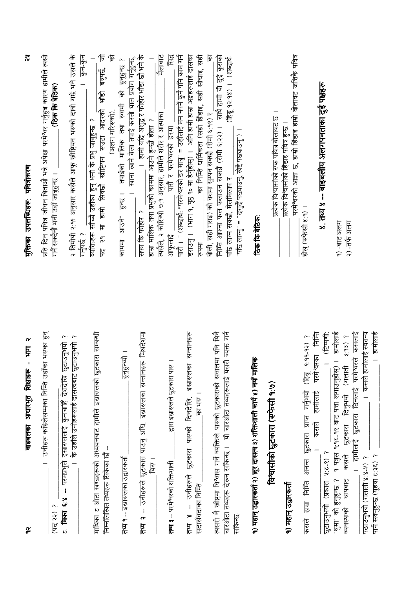| $\boldsymbol{\gamma}$<br>Ę<br>बाइबलका आधारभूत शिक्षाहरू<br>$\widetilde{\sigma}$                                                                                                               | $\tilde{\bm{x}}$<br>मुक्तिका उपलब्धिहरू पवित्रीकरण                                                                                                                                                                                                   |
|-----------------------------------------------------------------------------------------------------------------------------------------------------------------------------------------------|------------------------------------------------------------------------------------------------------------------------------------------------------------------------------------------------------------------------------------------------------|
| $\overline{\mathbb{F}}$<br>उनीहरू कहिलेसम्मका निम्ति उहाँका भरग्का<br>(पद २२)                                                                                                                 | प्रति दिन पवित्र जीवन बिताऔं भन्ने अपेक्षा परमेश्वर गर्नुहुन्न कारण हामीले त्यसो<br>(ठिक कि बेठिक)<br>गर्ने सक्देनौ भनी उहाँ जानुहुन्छ ।                                                                                                             |
| مح<br>के उहाँले उनीहरूलाई दासत्वबाट छुटाउनुभयो<br>परमप्रभुले इस्रारूललाई कुनचाहिँ देशदेखि छुटाउनुभयो<br>مد<br>نما<br>मिका                                                                     | २ तिमोथी २:१९ अनुसार कसैले आफू खीड़ियन भरूको दाबी गर्छ भने उसले के<br>कुन-कुन<br>गर्नुपर्छ ?                                                                                                                                                         |
| माथिका ट ओटा खण्डहरूको अध्ययनबाट हामीले इस्रारूलको छुटकारा सम्बन्धी<br>- चिम्नलिखित तथ्यहरू सिकेका चौ                                                                                         | 厉<br>乍<br>व्यक्तिहरू सॉच्चे उहॉका हुन् भनी के प्रभु जात्रुहुन्छ ?<br>पद २१ मा हामी सिक्खौ खोष्टियन रुउटा आदरको भाँडो बत्रुपर्छ,<br>(अलग गरिसको),                                                                                                     |
| हनुहन्थ्यो ।<br><b>तथ्य १</b> -- इस्रारूलका उद्घारकर्ता                                                                                                                                       | तपाईको मालिक तथा स्वामी को हुनुहुन्छ ?<br>खाना खाने बेला तपाई कस्तो थाल प्रयोग गर्नुहुन्छ,<br>$\frac{1}{\sqrt{2}}$<br>काममा आउने                                                                                                                     |
| २ -- उनीहरूले छुटकारा पाउनु अघि, इस्रारूलका सन्तानहरू मिश्रदेशमा<br>थिरु ।<br>हू                                                                                                              | ।   हामी यदि अशुद्ध र फोहोर भाँडा छौ भने के<br>मैलाबाट<br>हाम्रा मालिक तथा प्रभुको काममा आउने हुन्छौ होला ?<br>सफा कि फोहोर ?                                                                                                                        |
| द्वारा इस्रास्लेले छुटकारा पारु<br><b>तथ्य ३</b> -- परमेश्वरको शक्तिशाली                                                                                                                      | ly<br>E<br>त्यसैले, २ कोरिन्थी ७:१ अनुसार, हामीले शरीर र आत्माका<br>आफूलाई                               पारौ र परमैश्वरको  डरमा                                                                                                                     |
| सन्तानहरू<br>इस्रास्लका<br>। क्षेप्त क्र<br><b>तथ्य ४ -- उ</b> र्नीहरूले छुटकारा पारुको दिनदेखि,<br>सदासंवदाका निमि                                                                           | पारौँ । " (शब्दार्थ: "परमे°वरको डर मात्रु" = उहाँलाई मन नपनें कुनै पनि काम गर्न<br>_का निम्ति धार्मिकता (सही हिंडाइ, सही सोचाइ, सही<br>डराउनु ।   (भाग १, पृष्ठ १० मा हेर्नुहोस्) ।   अनि हामी हाम्रा अङ्गहरूलाई दासका<br>सिपमा                      |
| चारओटा तथ्यहरू देख्न सकिन्छ ।  यी चारओटा तथ्यहरूलाई यसरी व्यक्त गर्न<br>त्वसरी नै खीष्टमा विश्वास गर्ने व्यक्तिले पारुको छुटकाराको सवालमा पनि विनै<br>सकिन्छः                                 | निम्ति आफ्ना फल फलाउन सक्खी (रोमी ६:२२) ।  साथै हामी यी दुई कुराको<br>(हिब्रू १२:१४) । (शब्दार्थः<br>╔<br>बोली, सही गराइ) को वशमा सुम्पन सक्छौ (रोमी ६:१९) र<br>"पछि लाग्नु" = "दगुर्दै पछ्याउनु, खेद्दै पछ्याउनु") ।<br>पछि लाग्न सक्छौ, मेलमिलाप र |
| १) महान् उद्धारकर्ता २) क्रूर दासत्व ३) शक्तिशाली कार्य ४) नयाँ मालिक                                                                                                                         | ठिक कि बेठिक:                                                                                                                                                                                                                                        |
| विश्वासीको छुटकारा (रुफेसी १७)                                                                                                                                                                | प्रत्येक विश्वासीको रण्क पवित्र बोलावट छ ।                                                                                                                                                                                                           |
| <u>१) महान् उद्घारकर्ता</u>                                                                                                                                                                   | परमेश्वरको आज्ञा छ, हाम्रो हिंडाइ हाम्रो बोलावट जत्तिकै पवित्र<br>प्रत्येक विश्वासीको हिँडाइ पवित्र हुन्छ ।                                                                                                                                          |
| 信任<br>$6.99 - 92)$ ?<br>परमेश्वरका<br>हाम्रा निम्ति अनन्त छुटकारा प्राप्त गर्नुभयो (हिब्रू<br>हामीलाई<br>कसले<br>कसले                                                                         | होस् (रुफेसी ४:१) ।                                                                                                                                                                                                                                  |
| (Terry):<br>छूटाउन्मयो (प्रकाश १:८-९) ?                                                                                                                                                       | ४. तथ्य ४ -- बाइबलीय अलगपनताका दुई पक्षहरू                                                                                                                                                                                                           |
| । हामीलाई<br>। हामीलाई छुटकारा दिनलाई परमेश्वरले कसलाई<br>$3:93)$ ?<br>छुटकारा दिनुभयो (गलाती<br>१ पत्रुस १:१८-१९ बाट पत्ता लगाउनुहोस्)<br>श्रापबाट कसले<br>थुमा को हुनुहुन्छ ?<br>व्यवस्थाको | $\overline{q}$ ) $\overline{q}$ and $\overline{q}$<br>२) -तर्फ अलग                                                                                                                                                                                   |
| । हामीलाई<br>। कसले हामीलाई स्वतन्त्र<br>पार्न सक्नुहुन्छ (यूहचा ट:३६) ?<br>पठाउनुभयो (गलाती ४:४-५) ?                                                                                         |                                                                                                                                                                                                                                                      |

 $\frac{1}{\alpha}$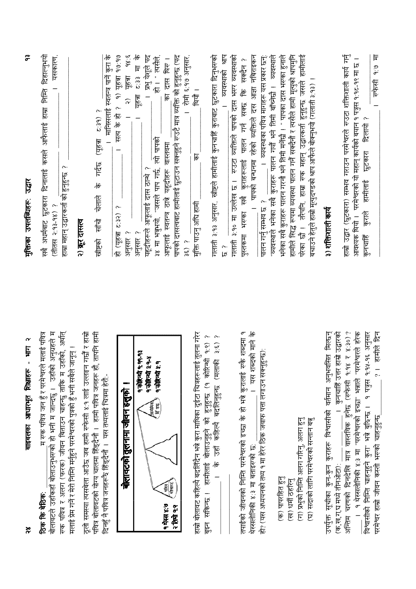| सबै अधर्मबाट छुटकारा दिनालाई कसले आफैलाई हाम्रा निम्ति दिहाल्नुभयो<br>यसकारण,<br>हाम्रा महान् उद्घारकर्ता को हुनुहुन्छ ?<br>(तीतस २:१३-१४)         |
|----------------------------------------------------------------------------------------------------------------------------------------------------|
| २) क्रूर दासल                                                                                                                                      |
| (यूहत्रा ट:३१) ?<br>चेलाले के गर्दछ<br>信<br>खोष्टको                                                                                                |
| ।   मानिसलाई स्वतन्त्र पार्ने कुरा के<br>१) यहचा १७:१७<br>रात्य के हो ?<br>हो (यूहचा ट:३२) ?                                                       |
| $\frac{1}{6}$<br>98.8<br><b>E:33</b> मा<br>२) यहचा<br>यहन्ना<br>अनुसार?<br>अनुसार ?                                                                |
| । प्रभु येशूले पद<br>हो। " त्यसैले.<br>३४ मा भन्नुभयो, "जसले पाप गर्छ, त्यो पापको<br>यहूदीहरूले आफूलाई दास ठान्थे ?                                |
| का दास थिए।<br>आफूलाई स्वतन्त्र ठात्रे यहूदीहरू वास्तवमा                                                                                           |
| पापको दासत्वबाट हामीलाई छुटाउन सक्नुहुने रुउटै मात्र व्यक्ति को हुनुहुन्छ (पद<br>। रोमी ६:१७ अनुसार,<br>$\frac{3}{2}$ ?                            |
| -<br>包<br>包<br>मुक्ति पाउनु अघि हामी                                                                                                               |
| गलाती ३.१३ अनुसार, खीष्टले हामीलाई कुनचाहिँ कुराबाट छुटकारा दिनुभरुको<br>व्यवस्थाको श्राप<br>$\overline{a}$<br>.ب<br>لگا                           |
| गलाती ३:१० मा उल्लेख छ ।  रुउटा व्यक्तिले पापको दास भरूर व्यवस्थाको                                                                                |
| पापको बन्धनमा रहेको व्यक्तिले दस आज्ञा नबिराइकन<br>कि सक्देन ?<br>कुराहरूलाई पालन गर्न सक्छ<br>पुस्तकमा भरूका सबै<br>$\qquad \qquad -$             |
| । व्यवस्थाका पवित्र मागहरू यस प्रकार छन्:<br>पालन गर्नु सम्भव छ ?                                                                                  |
| "व्यवस्थाले भनेका सबै कुराहरू पालन गर्यौ भने तिमी बाँच्नेछौ । व्यवस्थाले<br>भनेका सबै कुराहरू पालन गरनौ भने तिमी मनेंछौ । " पापका दास भरुका हुनाले |
| हामीले सिद्ध रूपमा व्यवस्था पालन गर्ने सक्दैनौ र त्यसैले हामी मृत्युको श्रापर्मुनि                                                                 |
| परेका छौ ।  तरैपनि, हाम्रा रुक महान् उद्घारकर्ता हुनुहुन्छ जसले हामीलाई<br>बचाउने हेतुले हाम्रो मृत्युदण्डको श्राप अफिले बोक्नुभयो (गलाती ३.१३) ।  |
| ३) शक्तिशाली कार्य                                                                                                                                 |
| हाम्रो उद्धार (छुटकारा) सम्भव गराउन परमेश्वरले रुउटा शक्तिशाली कार्य गर्नु                                                                         |
| 耳 のず 存分す<br>आवश्यक थियो ।   परमेश्वरको यो महान् कार्यको बयान १ पत्रुस १:१८-१९ मा छ ।<br>छुटकारा दिलायी ?<br>हामीलाई<br>कुराले<br>कुनचाहि           |
|                                                                                                                                                    |

| .म रुक पवित्र जन हुँ र परमेश्वरले मलाई पवित्र<br>ठिक कि बेठिक:                                                                                                                                                                                                                                                                                                                                                                                          |
|---------------------------------------------------------------------------------------------------------------------------------------------------------------------------------------------------------------------------------------------------------------------------------------------------------------------------------------------------------------------------------------------------------------------------------------------------------|
| बोलावटले उहाँकहाँ बोलाउनुभरुको हो भनी म जान्दछु ।  उहाँको अनुग्रहले म                                                                                                                                                                                                                                                                                                                                                                                   |
| रुक पवित्र र अलग (फरक) जीवन बिताउन चाहन्छु ताकि म उहाँको, अर्थात्<br>मलाई प्रेम गर्ने र मेरो निम्ति मर्नुहुने परमेश्वरको पुत्रको हुँ भनी सबैले जानून् ।                                                                                                                                                                                                                                                                                                 |
| पवित्र बोलावटको योग्य चालमा हिंड्दैनौ ।  हामी पवित्र जनहरू हौ, तापनि हामी<br>ठूलो समस्या त्यसबेला आउँछ जब हामी रुफेसी ४:१ लाई उल्लङ्न गर्छौ र हाम्रो<br>दिनहुँ नै पवित्र जनहरूरै हिंड्दैनौ ।  यस तथ्यलाई चित्रमा हेरौं -                                                                                                                                                                                                                                |
| $\blacksquare$<br>बोलावटको तुलनामा जीवन हत्तुको                                                                                                                                                                                                                                                                                                                                                                                                         |
| <u> प कोरिन्यी प पप पश</u><br><b>9 कोरियो ३.१-४</b><br>$q = \frac{1}{2}$<br><b>Arthur</b><br>E<br>० थेस्स ४:७<br>$\alpha$ fin $\alpha$                                                                                                                                                                                                                                                                                                                  |
| हाम्रो बोलावट कहिल्यै बदलिँदैन भन्ने कुरा माथिका दुईटा चित्रहरूलाई तुलना गरेर<br>$\sim$<br>مح<br>$\frac{\widehat{\mathbf{c}}}{\widehat{\mathbf{c}}}$<br>$\widehat{e}$ .<br>को हुनुहुन्छ (१ कोरिन्थी<br>कहिल्मे बदलिनुहुन्छ (मलाकी<br>बालाउनुहुने<br>辰<br>हामीलाई<br>$\frac{1}{6}$<br>सकिन्छ ।<br>रू<br>क                                                                                                                                                |
| यस शब्दको माने के<br>$\sigma$<br>तपाईको जीवनको निम्ति परमेश्वरको इच्छा के हो भन्ने कुरालाई स्फै शब्दमा<br>हो? (यस अध्ययनको तथ्य १ मा हेरेर ठिक जवाफ पत्ता लगाउन सक्नुहुन्छ):<br>—<br>थेस्सलोनिकी ४:३ मा बताइरुको छ:                                                                                                                                                                                                                                     |
| (ग) प्रभुको निम्ति अलग गरिनु, अलग हुनु<br>सदाको लागि परमेश्वरको सन्तान बन्नु<br>(क) पापरहित हुनु<br>(ख) धर्मी ठहरिनु<br>টি                                                                                                                                                                                                                                                                                                                              |
| वास्तविक हुनेछ (रुफेसी १:१४ र ४:३०)?<br>"परमेश्वरले हरेक<br>? । हामीले दिन<br>विश्वासीको निम्ति चाहनुहुने कुरा" भन्ने बुर्दिन्छ । १ पत्नुस १.१४-१६ अनुसार<br>अनुभवस्ति मिल्छन्<br>कुनचाहिं उत्तर हाम्रो उद्घारको<br>१ थेस्सलोनिकी ४:३ मा "परमेश्वरको इच्छा" भन्नाले<br>कुराहरू विश्वासीको वर्तमान<br>-<br>परमेश्वर हाम्रो जीवन कस्तो भरूको चाहनुहुन्छ<br>$\mathbb{F}$<br>चरणको दिनदेखि<br>उपर्युक्त सूचीका कुन-कुन<br>(क,ख,ग,घ मध्ये तीनओटा):<br>अन्तिम |

#### र्गुक्तिका उपलब्धिहरू: उद्धार

 $\frac{8}{3}$ 

बाइबलका आधारभूत शिक्षाहरू - भाग २

 $\tilde{c}$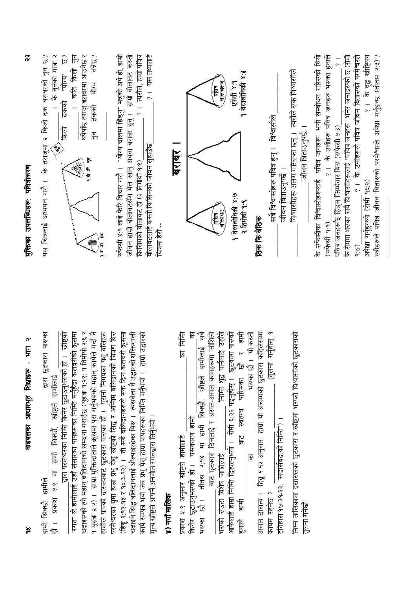| $\boldsymbol{\alpha}$<br>Ę<br>$\mathbf{r}$<br>बाइबलका आधारभूत शिक्षाहरू<br>$\frac{8}{5}$                                                                                                                                                                                                                                                                                                                                                                                                                             | $\tilde{\alpha}$<br>मुक्तिका उपलब्धिहरू: पवित्रीकरण                                                                                                                                                                                                                                                      |
|----------------------------------------------------------------------------------------------------------------------------------------------------------------------------------------------------------------------------------------------------------------------------------------------------------------------------------------------------------------------------------------------------------------------------------------------------------------------------------------------------------------------|----------------------------------------------------------------------------------------------------------------------------------------------------------------------------------------------------------------------------------------------------------------------------------------------------------|
| १ यूहत्रा २:२) ।  हाम्रा मुक्तिदाताले क्रूसमा पूरा गर्नुभरूको महान् कार्यले गर्दा नै<br>हामीले पापको दासत्वबाट छुटकारा पारुका हो ।  पुरानो निमयका पशु बलिहरू<br>द्वारा छुटकारा पारुका<br>'रगत'' ले हामीलाई उहाँ संसारका पापहरूका निम्ति मर्नुहुँदा कलवरीको क्रूसमा<br>चढाइरुको त्यो महान् बलिदानको सम्ठना गराउँछ (यूहत्रा १:२९: १ तिमोथी २:६ र<br>हो । स्नीष्टको<br>.दारा परमेश्वरका निम्ति किनेर छुटाउनुभरुको<br><u>श्:९ मा हामी सिक्खौ, स्त्रीष्टले हामीलाई</u><br>हामी सिक्खें, हामीले<br><u> Lauki</u><br>一<br>标 | $\overline{\mathcal{F}}$<br>$\hat{\vec{z}}$<br>थपेपछि तराजु बराबरमा आउनेछ र<br>बन्नेछ?<br>के तराजुमा २ किलो ढक बराबरको नुन छ?<br>के नुनको मात्रा २<br>कति किली<br>"पोग"<br>योग्य<br>ढकको<br>तुकको<br>क्रिले<br>$\mathsf{F}$<br>٩<br>Ę,<br>卡仔<br>यस चित्रलाई अध्ययन गरौ ।<br>有令                           |
| परमेश्वरका थुमा हाम्रा प्रभु येशू खीष्टको सिद्ध र अन्तिम बलिदानको चित्रण थिरु<br>(हिब्रू ९: १२-१४ र १०:३-१२) । ती सबै बलिदानहरूले रुक दिन कलवरी क्रूसमा<br>चढाइने सिद्ध बलिदानलाई औल्याइरहेका थिरु ।  त्यसबेला नै उद्धारको शक्तिशाली<br>हाम्रो उद्धारको<br>कार्य सम्पन्न भयो जब प्रभु येशू हाम्रा पापहरूका निम्ति मर्नुभयो ।<br>मूल्य खीष्टले आफ्नै अनमोल रगतद्वारा तिर्नुभयो ।<br>४) नयाँ मालिक                                                                                                                     | ? । यस तथ्यलाई<br>त्यसैले, हाम्रो पवित्र<br>"योग्य चालमा हिंड्नु" भन्नुको अर्थ हो, हाम्रो<br>हाम्री बोलावट कस्तो<br>जीवन हाम्रो बोलावटसँग मेल खानु अथवा बराबर हुनु !<br>बोलावटलाई कस्तो किसिमको जीवन सुहाउँछ<br>किसिमको बोलावट हो (२ तिमोथी १.९)<br>रुफेसी ४:१ लाई फेरि विचार गरौँ ।<br>चित्रमा हेरों -- |
| का मिति<br>ᅙ<br>किनेर छुटाउनुभरुको हो। यसकारण हामी<br>प्रकाश ५:९ अनुसार खीष्टले हामीलाई                                                                                                                                                                                                                                                                                                                                                                                                                              | बराबर                                                                                                                                                                                                                                                                                                    |
| 贾<br>निम्ति शुद्ध पार्नलाई उहाँले<br>बाट छुटकारा दिनलाई र असल-असल कामहरूमा जोशिली<br>हामीलाई<br>राष्ट्र<br>छौ । तीतस २:१४ मा हामी सिक्छौ,<br>भरूको रुउटा विशेष जातिलाई<br>मस्का                                                                                                                                                                                                                                                                                                                                      | ्मवित्र<br>चालचलन्<br>्मविन्न<br><b>बाला</b> वट्                                                                                                                                                                                                                                                         |
| 信心<br>आफैलाई हाम्रा निम्ति दिहाल्नुभयो । रोमी ६:२२ पद्नुहोस् । छुटकारा पारुको<br>भरण्का छौ । यो कस्तो<br>$\overline{R}$<br>, tõ<br>बाट स्वतन्त्र पारिस्का<br>$\overline{\overline{\epsilon}}$<br><b>THE</b><br>हुनाल                                                                                                                                                                                                                                                                                                 | १ घेस्सलोनिकी ४:३<br>एकेसी ४:१<br>१ थेस्सलेनिकी ४:७<br>२ तिमोथी १:९                                                                                                                                                                                                                                      |
| हिब्रू ९.१२ अनुसार, हाम्रो यो अचम्मको छुटकारा कहिलेसम्म<br>(तुलना गर्नुहोस्<br>कायम रहनेछ ?<br>असल दासल ।                                                                                                                                                                                                                                                                                                                                                                                                            | सबै विश्वासीहरू पवित्र हुन् ।   विश्वासीले<br>ठिक कि बेठिक                                                                                                                                                                                                                                               |
| इतिहास १७:२१-२२, "सदार्सवदाको निम्ति") ।                                                                                                                                                                                                                                                                                                                                                                                                                                                                             | जीवन बिताउनुपर्छ ।                                                                                                                                                                                                                                                                                       |
| निम्न तालिकामा इस्रारूलको छुटकारा र खीष्टमा भरूको विश्वासीको छुटकाराको<br>तुलना गर्नेछी                                                                                                                                                                                                                                                                                                                                                                                                                              | त्यसैले रुक विश्वासीले<br>विश्वासीहरू अलग गरिसका छन् ।<br>जीवन बिताउनुपर्छ                                                                                                                                                                                                                               |
|                                                                                                                                                                                                                                                                                                                                                                                                                                                                                                                      | के रोममा भरुका सबै विश्वासीहरूलाई "पवित्र जनहरू" भनेर जनाइरुको छ (रोमी<br>के रुफेसीका विश्वासीहरूलाई "पवित्र जनहरू" भनी सम्बोधन गरिरुको थियो<br>?। के उनीहरू पवित्र जनहरू भरुका हुनाले<br>$\overline{1}$<br>पवित्र जनहरूरै हिंड्न जिम्मेवार थिरु (रुफेसी ४:३)<br>(स्फेसी १.१)                            |
|                                                                                                                                                                                                                                                                                                                                                                                                                                                                                                                      | ? । के वृद्ध स्त्रीष्टियन<br>स्त्रीहरूले पवित्र जीवन बितासको परमेश्वरले अपेक्षा गर्नुहुन्छ (तीतस २:३)?<br>के उनीहरूले पवित्र जीवन बितारुको परमेश्वरले<br>अपेक्षा गर्नुहुन्थ्यो (रोमी १६:२)<br>$\frac{1}{2}$<br>$\widehat{e}$ . $\widehat{e}$                                                             |

बाइबलका आधारभूत शिक्षाहरू - भाग २

 $\approx$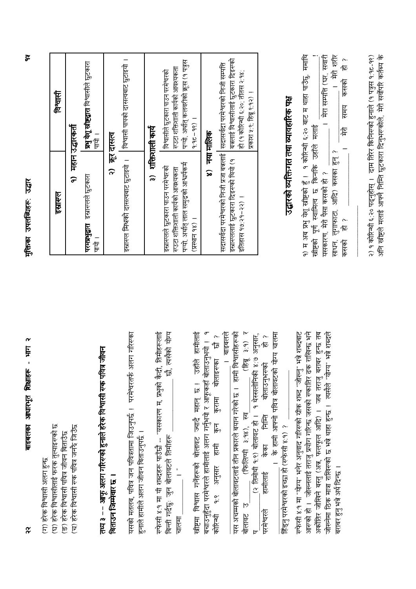| (ग) हरेक विश्वासी अलग हुन्छ                                                                                                                                                                                                                   |                                                                                                                                                                |                                                                                                                  |
|-----------------------------------------------------------------------------------------------------------------------------------------------------------------------------------------------------------------------------------------------|----------------------------------------------------------------------------------------------------------------------------------------------------------------|------------------------------------------------------------------------------------------------------------------|
| (घ) हरेक विश्वासीलाई फरक तुल्याइरण्को छ                                                                                                                                                                                                       | इस्रास्त्                                                                                                                                                      | विश्वारी                                                                                                         |
| (च) हरेक विश्वासी रण्क पवित्र जनकै जिउँछ<br>(ङ) हरेक विश्वासी पवित्र जीवन बिताउँछ                                                                                                                                                             |                                                                                                                                                                | १) महान उद्धारकर्ता                                                                                              |
|                                                                                                                                                                                                                                               | <b>परमप्रभुद्वारा</b> इस्रारुलले छुटकारा<br>पाया ।                                                                                                             | प्रभु येशू खीष्टद्वारा विश्वासीले छुटकारा<br>-<br>सि                                                             |
| <b>Held</b><br>तथ्य ३ – – अफू अलग गरिसको हुनाले हरेक विश्वासी सक पवित्र<br>बिताउन जिम्मेवार छ                                                                                                                                                 | $\widehat{\widetilde{\phantom{w}}}\hspace{0.1in}$                                                                                                              | कर दासल                                                                                                          |
| यसको मतलब, पवित्र जन पवित्रतामा जिउनुपर्छ ।  परमेश्वरतर्फ अलग गरिरुका<br>हुनाले हामीले अलग जीवन बिताउनुपर्छ ।                                                                                                                                 | इस्रारुल मिश्रको दासत्वबाट छुटाइयो ।                                                                                                                           | विश्वासी पापको दासत्वबाट छुटाइयो ।                                                                               |
| रुफेसी ४:१ मा यी शब्दहरू पाउँछौ -- "यसकारण म, प्रभुको कैदी,                                                                                                                                                                                   |                                                                                                                                                                | ३) शक्तिशाली कार्य                                                                                               |
| तिमीहरूलाई<br>त्पसेको योग्य<br>ts<br>बिन्ती गर्दछुः जुन बोलावटले तिमीहरू<br>चालमा                                                                                                                                                             | पऱ्यो. अर्थात् लाल समुद्रको आश्वर्यकर्म<br>इस्रास्लले छुटकारा पाउन परमेश्वरको<br>रण्डटा शक्तिशाली कार्यको आवश्यकता                                             | पऱ्यो, अर्थात् कलवरीको क्रूस (१ पत्रुस<br>रुउटा शक्तिशाली कार्यको आवश्यकता<br>विश्वासीले छूटकारा पाउन परमेश्वरको |
| उहाँले हामीलाई<br>स्रीष्टमा विश्वास गर्नेहरूको बोलावट ज्यादै महान् छ ।                                                                                                                                                                        | 1 (26 Elbert)                                                                                                                                                  | $1 (36 - 26.6)$                                                                                                  |
| बचाउनुहुँदा परमेश्वरले हामीलाई अलग गर्नुभयो र आफूकहाँ बोलाउनुभयो ।   १<br>$\tilde{\vec{z}}$<br>कोरिन्धी                                                                                                                                       | $\hat{\infty}$                                                                                                                                                 | नया मालिक                                                                                                        |
| । बाइबलले<br>यस अचम्मको बोलावटलाई तीन प्रकारले बयान गरेको छ ।  हामी विश्वासीहरूको<br>कुन कुरामा बोलाइरुका<br><u>१:९ अनुसार हामी</u>                                                                                                           | सदासर्वदा परमेश्वरको निजी प्रजा बन्नलाई  <br>इस्रारूललाई छुटकारा दिइरुको थियो (१<br>इतिहास १७:२१-२२) ।                                                         | बन्नलाई विश्वासीलाई छुटकारा दिइरुको<br>सदासर्वदा परमेश्वरको निजी सम्पत्ति<br>हो (१ कोरिन्थी ६:२०; तीतस २:१४;     |
| (हिब्रु ३:१) र<br>(फिलिपी ३:१४), स्व<br>बोलावट उ                                                                                                                                                                                              |                                                                                                                                                                | प्रकाश ५:९; हिब्रू ९:१२) ।                                                                                       |
| योग्य चालमा<br>_(२ तिमोथी १:१) बोलावट हो ।   १ थेस्सलोनिकी ४:७ अनुसार,<br>हामीलाई       केका       निम्ति       बोलाउनुभरुको       हो <i>?</i><br>। के हामी आफ्नो पवित्र बोलावटको<br>हिंड्नु परमेश्वरको इच्छा हो (रुफेसी ४:१) ?<br>परमेश्वरले | उद्घारको व्यक्तिगत तथा व्यावहारिक पक्ष                                                                                                                         |                                                                                                                  |
| रुफेसी ४:१ मा "योग्य" भनेर अनुवाद गरिसको ग्रीक शब्द "जोरूनु" भन्ने शब्दबाट                                                                                                                                                                    |                                                                                                                                                                |                                                                                                                  |
| आरुको हो ।   जोरूनलाई तराजु प्रयोग गरिन्छ जसको रुकातिर ढक राखिन्छ भने<br>अर्कांतिर जीविने बस्तु (अन्न, फलफूल आदिने बस्तु (अन्न) । जब तब                                                                                                       | १) म अब प्रभु येशू स्त्रीष्टको हुँ ।   १ कोरिन्थी ६:२० बाट म थाहा पाउँछु,  ममाथि<br>खीष्टको पूर्ण स्वामित्व छ किनकि उहाँले मलाई<br>यसकारण, मेरो पैसा कसको हो ? | मेरा सम्पत्ति (घर, सवारी                                                                                         |
| " भन्ने शब्दले<br>जोरूनेमा ठिक मात्रा राखिरुको छ भन्ने थाहा हुन्छ ।  त्यसैले "योग्य<br>बराबर हुनु भन्ने अर्थ दिन्छ ।                                                                                                                          | साधन, लुगाफाटा, आदि) कसका हुन् ?<br>一后<br>कसको                                                                                                                 | । मेरो शरीर<br>心厄<br>कसको<br>समय<br>F                                                                            |
|                                                                                                                                                                                                                                               | २) १ कोरिन्थी ६:२० पद्नुहोस् ।  दाम तिरेर किनिरुको हुनाले (१ पत्रुस १:१८-१९)<br>अनि खीष्टले मलाई आफ्नै निम्ति छुटकारा दिनुभरुकोले,  मेरो सर्वोपरि कर्तब्य के   |                                                                                                                  |

मुक्तिका उपलब्धिहरू: उद्धार

 $\tilde{\sigma}$ 

 $\widetilde{\mathbf{r}}$ 

बाइबलका आधारभूत शिक्षाहरू - भाग २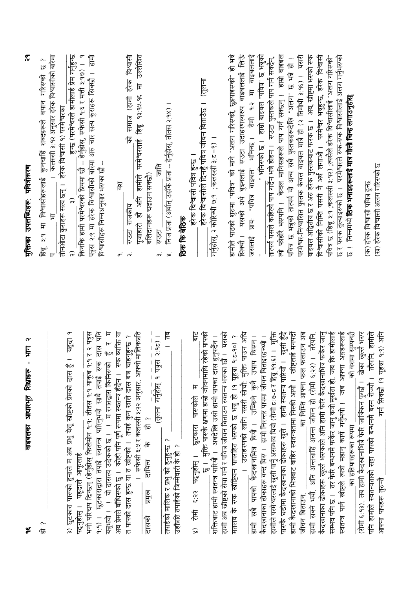| $\boldsymbol{\alpha}$<br>Ę<br>$\mathbf{I}$<br>बाइबलका आधारभूत शिक्षाहरू<br>یچ                                                                                                                                                    | $\tilde{\mathbf{r}}$<br>मुक्तिका उपलब्धिहरू पवित्रीकरण                                                                                            |
|----------------------------------------------------------------------------------------------------------------------------------------------------------------------------------------------------------------------------------|---------------------------------------------------------------------------------------------------------------------------------------------------|
| $\sim$<br>卮                                                                                                                                                                                                                      | ।  कलस्सी ३:१२ अनुसार हरेक विश्वासीको बरिमा<br>بہ<br>لگا<br>शब्दहरूले बयान गरिसको<br>३:१ मा विश्वासीहरूलाई कुनचाहिँ<br>$\sharp$<br>$\mathbb{R}^6$ |
| यहृदा<br>३) छुटकारा पारूको हुनाले म अब प्रभु येशू खीष्टको प्रेमको दास हुँ<br>पढ्नुहोस् ।                                                                                                                                         | तीनओटा कुराहरू सत्य छन् ।   हरेक विश्वासी १) परमेश्वरका                                                                                           |
| भनी परिचय दिन्छन् (हेर्नुहोस् फिलेमोन १:१; तीतस १:१ याकूब १:१ र २ पत्रुस<br>यहृदाले आफूलाई                                                                                                                                       | पत्रुस २:९ मा हरेक विश्वासीको बारेमा अरु चार सत्य कुराहरू सिक्छौ ।  हामी<br>विश्वासीहरू निम्नअनुसार भरण्का छौ –                                   |
| १:१) । छुटकाराद्वारा तपाई स्वतन्त्र पारिनुभयो साथै तपाई रुक दास पनि<br>बन्नुभयो । । यो दासत्व उदेकको छ । । म रगतद्वारा किनिरुको  हुँ  र  म<br>अब प्रेमले बॉधिरुको छु ।   कोही पनि पूर्ण रूपमा स्वतन्त्र हुँदैन ।   रुक व्यक्ति य | हिं<br>$\sigma$ <sup>:</sup>                                                                                                                      |
| रुफेसी ६:५ र कलस्सी ३:२२ अनुसार, आफ्नो मालिकप्रति<br>त पापको दास हुन्छ या त खीष्टको ।  तपाई कुन खाले दास बन्न चाहनुहुन्छ                                                                                                         | हरेक विश्वासी<br>समाज (हामी<br>ি<br>स्उटा राजकीय                                                                                                  |
| 心恼<br>$\frac{1}{6}$<br>दायित्व<br>प्रमुख<br>दासको                                                                                                                                                                                | पूजाहारी हौ अनि हामीले परमेश्वरलाई हिब्रू १३:१५-१६ मा उल्लेखित<br>बलिदानहरू चढाउन सक्छौ)                                                          |
| हि<br>(तुलना गर्नुहोस् १ पत्रुस्र २:१८) ।<br>- - - - - - - - - - - - - - -<br>तपाईको मालिक र प्रभु को हुनुहुन्छ ?<br>उहाँप्रति तपाईको जिम्मेवारी के हो ?                                                                         | निज प्रजा (अर्थात् उहाँकै प्रजा -- हेर्नुहोस्, तीतस २:१४) ।<br>信<br><b>1260</b><br>$\vec{r}$                                                      |
|                                                                                                                                                                                                                                  | ठिक कि बेठिक                                                                                                                                      |
| $\frac{1}{\overline{6}}$<br>$\mathbf{r}$<br>पारण्कोले<br>छुटकारा<br>६:२२ पढ्नुहोस् ।<br>怎<br>$\hat{z}$                                                                                                                           | हरेक विश्वासी पवित्र हुन्छ ।                                                                                                                      |
| रहेको पापको<br>मुक्ति पार्स्टके क्षणमा हाम्रो जीवनमाथि<br>—<br> <br>ಸ್                                                                                                                                                           | (तृलना<br>हरेक विश्वासीले दिनहुँ पवित्र जीवन बिताउँछ ।<br>गर्नुहोस्, २ कोरिन्थी ७:१  ;कलस्सी ३:ट-९) ।                                             |
| शक्तिबाट हामी स्वतन्त्र पारियौ ।  अबदेखि उसो हामी पापका दास हुनुपर्दैन ।<br>हामी अब स्नीष्टको सेवा गर्न र पवित्र जीवन बिताउन स्वतन्त्र भरुका छौ ।  यसको                                                                          | हामीले पाठको शुरुमा "पवित्र" को माने "अलग गरिरुको, छुट्टयाइरुको" हो भन्ने                                                                         |
| उदाहरणको लागि यसरी सोचौ: मुक्ति पाउन अधि<br>$\frac{1}{6}$ (0b-2:b<br>मतलब के रुक खीष्टियन पापरहित भरुको छ भन्नु हो (१ यूहत्रा                                                                                                    | बुझ्नलाई स्टटा उदाहरणस्वरुप बाइबललाई लिऊँ<br>यसको अर्थ<br>सिक्यों ।                                                                               |
| उपाय थिरन ।<br>उम्किने कुनै<br>हामी सबै पापको कैदरवानाभित्र थियौ ।                                                                                                                                                               | प्रायः "पवित्र बाइबल" भनिन्छ । रोमी १:२ मा बाइबलललाई<br>जसलाई                                                                                     |
| कैदखानाका ढोकाहरू बन्द थिरु ।   हामी निरन्तर पापमा जीवन बिताइरहन्थ्यो ।                                                                                                                                                          | " भनिरुको छ ।  हाम्रो बाइबल "पवित्र" छ भन्नुको<br>तात्पर्य यसले कहिल्यै पाप गर्दैन भन्ने होइन ।   रुउटा पुस्तकले पाप गर्न सक्दैन,                 |
| हामीले परमेश्वरलाई खुसी पार्नु असम्भव थियो (रोमी ट:७-ट र हिब्रु ११:६) ।    मुक्ति<br>पारुकै  घडीमा कैदखानाका ढोकाहरू खुले ।    हामी स्वतन्त्र पारियौ ।   खुसी हुँदै                                                              | त्यो फोहोरै भरपनि ।  केवल मानिसहरूले पाप गर्न सक्छन् ।  हाम्रो बाइबल                                                                              |
| हामी कैदरवानाको भित्रबाट बाहिर स्वतन्त्रतामा निस्की आयौ ।  स्त्रीष्टुलाई मनपदौ                                                                                                                                                   | परमेश्वर-निश्वासित पुस्तक केवल मात्रै हो (२ तिमोथी ३:१६) ।  यसरी<br>पवित्र छ भनुको तात्पर्य यो अन्य सबै पुस्तकहरूदेखि "अलग" छ भन्ने हो !          |
| फलाउन अब<br>स्मि स्वत्ने भी दिए बि स्वास्त प्रान्त के स्थित हैं। "स्मि स्पि स्वास्त स्वास्त स्वास्त स्वास्त स्वास्त स्वास्<br>का निमि आफ्ना फल<br>जीवन बिताउन.                                                                   | बाइबल अद्वितीय छ र अरु हरेक पुस्तकबाट फरक छ ।  अब, ख्रीष्ट्रमा भरुको रुक                                                                          |
| कैदखानाका ढोकाहरू खुल्लै भरूकाले अनि हामी फेरि कैदखानाभित्र फर्केर जान्                                                                                                                                                          | विश्वासीको निम्ति यसरी नै अर्थ लगाऔ । परमेश्वर भन्नहुन्छ, हरेक विश्वासी                                                                           |
| कि हामीलाई<br>सम्भव पनि छ । तर फेरि बन्धनमै फर्केर जानु कत्रो मूर्खता हो, जब                                                                                                                                                     | पवित्र छ (हिब्रू ३:१ ;कलस्सी ३:१२) ;त्यसैले हरेक विश्वासीलाई "अलग गरिरुको                                                                         |
| अङ्गहरूलाई<br>जान्दा आफ्ना<br>स्वतन्त्र पार्न स्न्नीहले त्यत्रो महान् कार्य गर्नुभयो ।                                                                                                                                           | छ र फरक तुल्याइरुको छ ।  परमेश्वरले रुक-रुक विश्वासीलाई अलग गर्नुभरुको                                                                            |
| _को वशमा सुम्पन्छौ<br>का हतियारहरूका रूपमा                                                                                                                                                                                       | निम्नमध्ये <b>ठिक भनाइहरूलाई मात्र गोली चिन्ह लगाउनुहोस्</b><br>$\frac{1}{\sqrt{2}}$                                                              |
| (रोमी ६:१३), तब हामी कैदखानाभित्रै फेरि जाक्किन पुग्छौ ।  ढोका खुल्लै भरूर<br>पनि हामीले स्वतन्त्रताको सहा पापको बन्धनमै बस्न रोज्यौ । तरैपनि, हामीले                                                                            | (क) हरेक विश्वासी पवित्र हुन्छ                                                                                                                    |
| गर्न सिक्छौ (१ यूहजा १.९) अनि<br>आफ्ना पापहरू तुरुन्तै                                                                                                                                                                           | (ख) हरेक विश्वासी अलग गरिसको छ                                                                                                                    |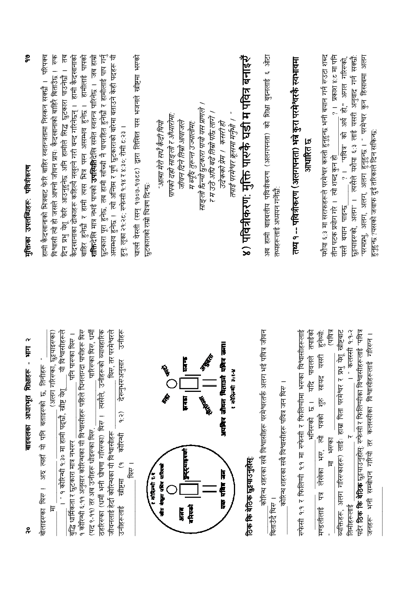| స్<br>मुक्तिका उपलब्धिहरू: पवित्रीकरण                                                            | $\frac{1}{2}$<br>छुटकारा पूरा हुनेछ. तब हामी साँच्ची नै पापरहित हुनेखौ र हामीलाई पाप गर्नु<br>असम्भव हुनेछ । त्यो अन्तिम र पूर्ण छुटकाराको बारेमा बताउने केही पदहरू यी<br>परिपक्व<br>दिन प्रभु येशू फेरि आउनुहुनेछ अनि हामीले सिद्ध छुटकारा पाउनेछौ । तब<br>बाहिर हुनेछौ र हामी त्यस भित्र पस्न असम्भव हुनेछ । हामीलाई पापको<br><b>शक्तिदेखि मात्र नभई पापको उपस्थितिदेखि समेत स्वतन्त्र पारिनेछ । जब हाम्रो</b><br>हामी कैदखानाको<br>विश्वासी लो हो जाफ्नो जीवन प्रायः कैदखानाको बाहिरै बिताउँछ ।<br>हामी कैदखानाको भित्रबाट फेरि बाहिर स्वतन्त्रतामा निस्कन सक्छौ ।<br>कैदखानाका ढोकाहरू कहिल्यै नखुल्ने गरी बन्द गरिनेछन् ।<br>हुन्: लूका २१:२८: स्फेसी १:१४ र ४:३०; रोमी ८:२३ । | चार्ल्स वेस्ली (सन् १७०७-१७०८८) द्वारा लिखित यस भजनले खीष्टमा भरूको<br>आत्मा मेरो सधै कैदी थियो<br>छुटकाराको राम्रो चित्रण दिन्छः | साङ्लो रिब्न्यो छुटकारा पायो यस प्राणले ।<br>र म उठे अघि बढे तिम्रो परिब् लागे ।<br>पापको दहा साङ्लो र अँध्यारोमा:<br>जीवन दिने तिम्रो आवाजले<br>म ब्यूँदै तुरून्त उज्यालोमाः | ४) पवित्रीकरण: मुक्ति पारुकै घडी म पवित्र बनाइरुँ<br>तपाई परमेश्वर क्रूसमा मर्नुभौ । "<br>उदेकको प्रेम । कसरी हो | अब हामी बाइबलीय पवित्रीकरण (अलगपनता) को शिक्षा बुझ्नलाई ६ औटा<br>तथ्यहरूलाई अध्ययन गर्नेछों:                                                                            | तथ्य १ -- पवित्रीकरण (अलगपनता) भन्ने कुरा परमेश्वरकै स्वभावमा<br>आधारित छ                              | यशैया ६:३ मा सराफहरूले परमेश्वर कस्तो हुनुहुन्छ भनी बयान गर्न रुउटा शब्द<br>?। प्रकाश ४:८ मा पनि<br>?। "पवित्र" को अर्थ हो," अगल गरिस्को,<br>तीन पटक प्रयोग गरे । त्यो शब्द कुन हो<br>यस्तै बयान पाइन्छ                                                        |
|--------------------------------------------------------------------------------------------------|-------------------------------------------------------------------------------------------------------------------------------------------------------------------------------------------------------------------------------------------------------------------------------------------------------------------------------------------------------------------------------------------------------------------------------------------------------------------------------------------------------------------------------------------------------------------------------------------------------------------------------------------------------------------------------------|-----------------------------------------------------------------------------------------------------------------------------------|-------------------------------------------------------------------------------------------------------------------------------------------------------------------------------|------------------------------------------------------------------------------------------------------------------|-------------------------------------------------------------------------------------------------------------------------------------------------------------------------|--------------------------------------------------------------------------------------------------------|----------------------------------------------------------------------------------------------------------------------------------------------------------------------------------------------------------------------------------------------------------------|
| $\boldsymbol{\alpha}$<br>ist<br>i<br>बाइबलका आधारभूत शिक्षाहरू<br>$\overset{\circ}{\bm{\gamma}}$ | पारिरुका थिरु, धर्मी<br>े अंगल<br>ठहरिरुका (धर्मी भनी घोषणा गरिरुका) थिरु ।  त्यसैले, उनीहरूको व्यावहारिक<br>१ कोरिन्थी ६:११ अनुसार कोरिन्थका यी विश्वासीहरू पहिले घिनलाग्दा पापीहरू थिरु<br>तर परमेश्वरले<br>(अलग गरिसका, छुट्टयाइसका)<br>विश्वासीहरूले<br>पनि पारुका थिरु ।<br>अरु त्यहाँ यो पनि बताइरुको छ, तिनीहरू<br>देख्नुभरुअनुसार<br>$\overline{5}$<br><u>किं</u><br><u>। " १ कोरिच्यी १:३० मा हामी पद्छौ, स्त्रीष्ट</u> येशू<br>$\widehat{q}$ : $\widehat{q}$<br>(पद ९-११) तर अब उनीहरू धोइरुका थिरु,<br>जीवनलाई हेर्दा कोरिन्थका यी विश्वासीहरू<br>कोरिन्धी<br>बुद्धि धार्मिकता र छुटकारा मात्र नभरूर<br>लीष्टमा (१<br>बोलाइसका थिरु !<br>उनीहरूलाई<br>斥                  | <b>RAS</b><br>$\boldsymbol{\hat{\epsilon}}$<br>थिरु ।<br>医皮质 医心中 医心中的 电信<br>$\frac{1}{2}$                                         | 香港<br><b>Saleh</b><br>lala 19<br><b>FRIDAY</b><br>  <b>हुन्</b> ट्याङ्ग्को<br><b>Terem</b><br>$rac{1}{2}$                                                                     | 三位的 医心中的 化合物医心理 医心理的<br>प्रभारत्व्यो ३१९४<br>有情节                                                                 | कोरिन्थ शहरका सबै विश्वासीहरू परमेश्वरतर्फ अलग भई पवित्र जीवन<br>कोरिन्थ शहरका सबै विश्वासीहरू पवित्र जन थिरु ।<br>ठिक कि बेठिक छुट्टगाउनुहोस्<br><b>बिताउँदै थिए ।</b> | रुफेसी १.१ फिलिप्पी १.१ मा रुफेसी र फिलिप्पीमा भरुका विश्वासीहरूलाई<br>यदि पावलले तपाईको<br>भनिरुको छ। | (पवित्र<br>अलग गरिरुकाहरू) लाईः हाम्रा पिता परमेश्वर र प्रभु येशू खीष्टबाट<br>हुनेथों:<br>यसरी<br>सायद<br>$\frac{1}{\alpha}$<br>पत्रको<br>Ē<br>मस्का<br>भू<br>भू<br>$\overline{\overline{H}}$<br>लेखेका<br>$\overline{\mathbb{F}}$<br>मण्डलीलाई<br>व्यक्तिहरू, |